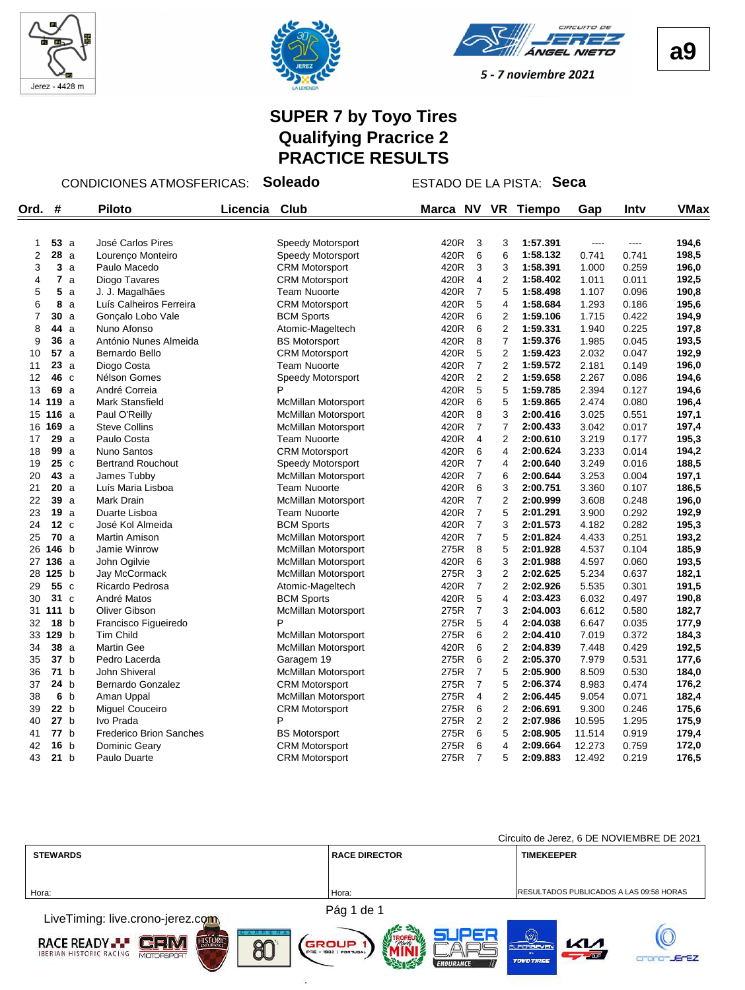





# **SUPER 7 by Toyo Tires Qualifying Pracrice 2 PRACTICE RESULTS**

CONDICIONES ATMOSFERICAS: **Soleado** ESTADO DE LA PISTA: **Seca**

| Ord.           | #               |    | <b>Piloto</b>            | Licencia | Club                       | Marca NV |                         | <b>VR</b>        | <b>Tiempo</b> | Gap    | Intv  | <b>VMax</b> |
|----------------|-----------------|----|--------------------------|----------|----------------------------|----------|-------------------------|------------------|---------------|--------|-------|-------------|
|                |                 |    |                          |          |                            |          |                         |                  |               |        |       |             |
| 1              | 53a             |    | José Carlos Pires        |          | Speedy Motorsport          | 420R     | 3                       | 3                | 1:57.391      | $---$  | ----  | 194,6       |
| $\overline{2}$ | 28a             |    | Lourenço Monteiro        |          | Speedy Motorsport          | 420R     | 6                       | 6                | 1:58.132      | 0.741  | 0.741 | 198,5       |
| 3              |                 | 3a | Paulo Macedo             |          | <b>CRM Motorsport</b>      | 420R     | 3                       | 3                | 1:58.391      | 1.000  | 0.259 | 196,0       |
| 4              | $\overline{7}$  | a  | Diogo Tavares            |          | <b>CRM Motorsport</b>      | 420R     | $\overline{4}$          | $\overline{2}$   | 1:58.402      | 1.011  | 0.011 | 192,5       |
| 5              | 5               | a  | J. J. Magalhães          |          | <b>Team Nuoorte</b>        | 420R     | $\overline{7}$          | 5                | 1:58.498      | 1.107  | 0.096 | 190,8       |
| 6              | 8               | a  | Luís Calheiros Ferreira  |          | <b>CRM Motorsport</b>      | 420R     | 5                       | $\overline{4}$   | 1:58.684      | 1.293  | 0.186 | 195,6       |
| 7              | 30              | a  | Gonçalo Lobo Vale        |          | <b>BCM Sports</b>          | 420R     | 6                       | $\boldsymbol{2}$ | 1:59.106      | 1.715  | 0.422 | 194,9       |
| 8              | 44 a            |    | Nuno Afonso              |          | Atomic-Mageltech           | 420R     | 6                       | 2                | 1:59.331      | 1.940  | 0.225 | 197,8       |
| 9              | <b>36</b> a     |    | António Nunes Almeida    |          | <b>BS Motorsport</b>       | 420R     | 8                       | $\overline{7}$   | 1:59.376      | 1.985  | 0.045 | 193,5       |
| 10             | 57a             |    | Bernardo Bello           |          | <b>CRM Motorsport</b>      | 420R     | 5                       | $\overline{2}$   | 1:59.423      | 2.032  | 0.047 | 192,9       |
| 11             | 23a             |    | Diogo Costa              |          | <b>Team Nuoorte</b>        | 420R     | $\overline{7}$          | $\overline{2}$   | 1:59.572      | 2.181  | 0.149 | 196,0       |
| 12             | 46 c            |    | Nélson Gomes             |          | Speedy Motorsport          | 420R     | 2                       | $\overline{2}$   | 1:59.658      | 2.267  | 0.086 | 194,6       |
| 13             | 69 a            |    | André Correia            |          | P                          | 420R     | 5                       | 5                | 1:59.785      | 2.394  | 0.127 | 194,6       |
|                | 14 119 a        |    | <b>Mark Stansfield</b>   |          | <b>McMillan Motorsport</b> | 420R     | 6                       | 5                | 1:59.865      | 2.474  | 0.080 | 196,4       |
| 15             | 116 a           |    | Paul O'Reilly            |          | <b>McMillan Motorsport</b> | 420R     | 8                       | 3                | 2:00.416      | 3.025  | 0.551 | 197,1       |
| 16             | 169a            |    | <b>Steve Collins</b>     |          | <b>McMillan Motorsport</b> | 420R     | $\overline{7}$          | $\overline{7}$   | 2:00.433      | 3.042  | 0.017 | 197,4       |
| 17             | 29a             |    | Paulo Costa              |          | <b>Team Nuoorte</b>        | 420R     | 4                       | $\overline{2}$   | 2:00.610      | 3.219  | 0.177 | 195,3       |
| 18             | 99 a            |    | Nuno Santos              |          | <b>CRM Motorsport</b>      | 420R     | 6                       | 4                | 2:00.624      | 3.233  | 0.014 | 194,2       |
| 19             | 25c             |    | <b>Bertrand Rouchout</b> |          | Speedy Motorsport          | 420R     | $\overline{7}$          | $\overline{4}$   | 2:00.640      | 3.249  | 0.016 | 188,5       |
| 20             | 43 a            |    | James Tubby              |          | McMillan Motorsport        | 420R     | $\overline{7}$          | 6                | 2:00.644      | 3.253  | 0.004 | 197,1       |
| 21             | 20a             |    | Luís Maria Lisboa        |          | <b>Team Nuoorte</b>        | 420R     | 6                       | 3                | 2:00.751      | 3.360  | 0.107 | 186,5       |
| 22             | 39a             |    | Mark Drain               |          | <b>McMillan Motorsport</b> | 420R     | $\overline{7}$          | $\overline{2}$   | 2:00.999      | 3.608  | 0.248 | 196,0       |
| 23             | 19a             |    | Duarte Lisboa            |          | <b>Team Nuoorte</b>        | 420R     | $\overline{7}$          | 5                | 2:01.291      | 3.900  | 0.292 | 192,9       |
| 24             | 12 <sub>c</sub> |    | José Kol Almeida         |          | <b>BCM Sports</b>          | 420R     | $\overline{7}$          | 3                | 2:01.573      | 4.182  | 0.282 | 195,3       |
| 25             | 70a             |    | Martin Amison            |          | McMillan Motorsport        | 420R     | $\overline{7}$          | 5                | 2:01.824      | 4.433  | 0.251 | 193,2       |
| 26             | 146 b           |    | Jamie Winrow             |          | <b>McMillan Motorsport</b> | 275R     | 8                       | 5                | 2:01.928      | 4.537  | 0.104 | 185,9       |
| 27             | <b>136</b> a    |    | John Ogilvie             |          | <b>McMillan Motorsport</b> | 420R     | 6                       | 3                | 2:01.988      | 4.597  | 0.060 | 193,5       |
| 28             | $125$ b         |    | Jay McCormack            |          | <b>McMillan Motorsport</b> | 275R     | 3                       | $\overline{2}$   | 2:02.625      | 5.234  | 0.637 | 182,1       |
| 29             | 55 c            |    | Ricardo Pedrosa          |          | Atomic-Mageltech           | 420R     | $\overline{7}$          | $\overline{2}$   | 2:02.926      | 5.535  | 0.301 | 191,5       |
| 30             | 31 <sub>c</sub> |    | André Matos              |          | <b>BCM Sports</b>          | 420R     | $\mathbf 5$             | 4                | 2:03.423      | 6.032  | 0.497 | 190,8       |
| 31             | 111 b           |    | Oliver Gibson            |          | <b>McMillan Motorsport</b> | 275R     | $\overline{7}$          | 3                | 2:04.003      | 6.612  | 0.580 | 182,7       |
| 32             | 18 <sub>b</sub> |    | Francisco Figueiredo     |          | P                          | 275R     | 5                       | $\overline{4}$   | 2:04.038      | 6.647  | 0.035 | 177,9       |
|                | 33 129 b        |    | <b>Tim Child</b>         |          | <b>McMillan Motorsport</b> | 275R     | 6                       | $\overline{2}$   | 2:04.410      | 7.019  | 0.372 | 184,3       |
| 34             | 38a             |    | <b>Martin Gee</b>        |          | <b>McMillan Motorsport</b> | 420R     | 6                       | $\overline{2}$   | 2:04.839      | 7.448  | 0.429 | 192,5       |
| 35             | 37 <sub>b</sub> |    | Pedro Lacerda            |          | Garagem 19                 | 275R     | 6                       | $\overline{2}$   | 2:05.370      | 7.979  | 0.531 | 177,6       |
| 36             | 71 b            |    | John Shiveral            |          | <b>McMillan Motorsport</b> | 275R     | 7                       | 5                | 2:05.900      | 8.509  | 0.530 | 184,0       |
| 37             | 24 b            |    | Bernardo Gonzalez        |          | <b>CRM Motorsport</b>      | 275R     | $\overline{7}$          | $\mathbf 5$      | 2:06.374      | 8.983  | 0.474 | 176,2       |
| 38             | 6 b             |    | Aman Uppal               |          | <b>McMillan Motorsport</b> | 275R     | 4                       | $\overline{c}$   | 2:06.445      | 9.054  | 0.071 | 182,4       |
| 39             | 22 b            |    | <b>Miguel Couceiro</b>   |          | <b>CRM Motorsport</b>      | 275R     | 6                       | $\overline{2}$   | 2:06.691      | 9.300  | 0.246 | 175,6       |
| 40             | 27 b            |    | Ivo Prada                |          | P                          | 275R     | $\overline{\mathbf{c}}$ | $\overline{2}$   | 2:07.986      | 10.595 | 1.295 | 175,9       |
| 41             | 77 b            |    | Frederico Brion Sanches  |          | <b>BS Motorsport</b>       | 275R     | 6                       | 5                | 2:08.905      | 11.514 | 0.919 | 179,4       |
| 42             | 16 <sub>b</sub> |    | Dominic Geary            |          | <b>CRM Motorsport</b>      | 275R     | 6                       | 4                | 2:09.664      | 12.273 | 0.759 | 172,0       |
| 43             | 21 b            |    | Paulo Duarte             |          | <b>CRM Motorsport</b>      | 275R     | $\overline{7}$          | 5                | 2:09.883      | 12.492 | 0.219 | 176,5       |

|                                                                                                    |                                       | Circuito de Jerez, 6 DE NOVIEMBRE DE 2021                                     |
|----------------------------------------------------------------------------------------------------|---------------------------------------|-------------------------------------------------------------------------------|
| <b>STEWARDS</b>                                                                                    | <b>RACE DIRECTOR</b>                  | <b>TIMEKEEPER</b>                                                             |
|                                                                                                    |                                       |                                                                               |
| Hora:                                                                                              | Hora:                                 | RESULTADOS PUBLICADOS A LAS 09:58 HORAS                                       |
| LiveTiming: live.crono-jerez.com                                                                   | Pág 1 de 1                            |                                                                               |
|                                                                                                    |                                       |                                                                               |
| HISTORIC<br><b>RACE READY</b><br>80<br><b>IBERIAN HISTORIC RACING</b><br><b>MOTOFSPORT</b><br>$-1$ | GROUP<br><b>P36 - 1982   PORTUGAL</b> | $\left(\sqrt{27}\right)$<br>KМ<br><b>SUPERSEVEN</b><br>CUP<br><b>PERSONAL</b> |

ä

**a9**

crono-JErEZ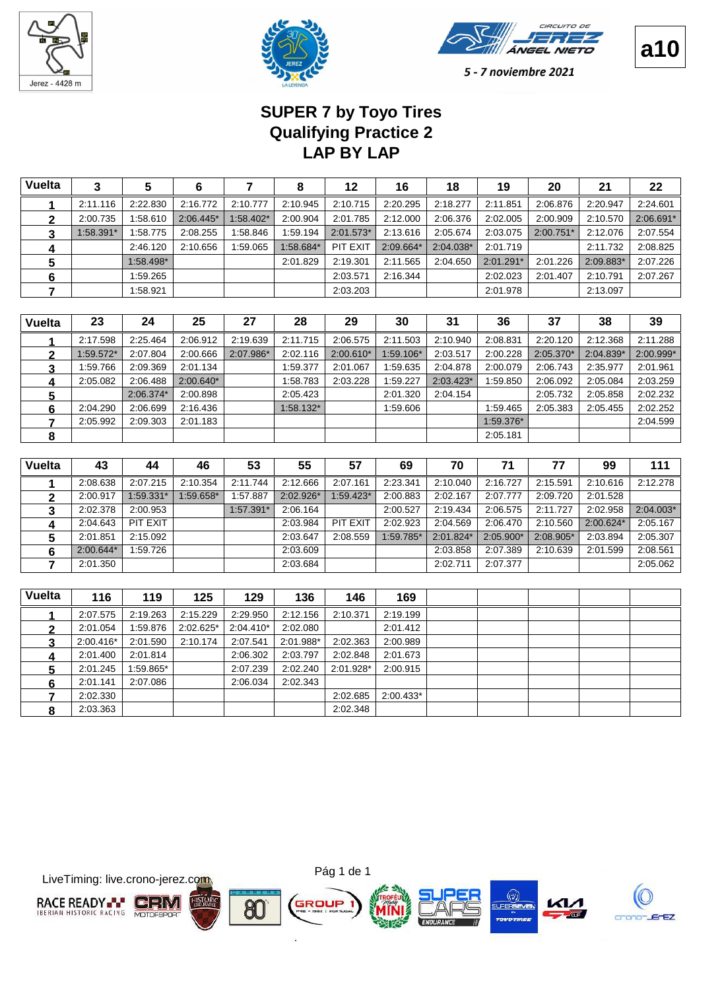





5 - 7 noviembre 2021

# **LAP BY LAP Qualifying Practice 2 SUPER 7 by Toyo Tires**

| <b>Vuelta</b> | 3           | 5                  | 6           |           | 8         | 12          | 16                               | 18        | 19        | 20        | 21        | 22        |
|---------------|-------------|--------------------|-------------|-----------|-----------|-------------|----------------------------------|-----------|-----------|-----------|-----------|-----------|
|               | 2:11.116    | 2:22.830           | 2:16.772    | 2:10.777  | 2:10.945  | 2:10.715    | 2:20.295                         | 2:18.277  | 2:11.851  | 2:06.876  | 2:20.947  | 2:24.601  |
| 2             | 2:00.735    | 1:58.610           | $2:06.445*$ | 1:58.402* | 2:00.904  | 2:01.785    | 2:12.000                         | 2:06.376  | 2:02.005  | 2:00.909  | 2:10.570  | 2:06.691* |
| 3             | 1:58.391*   | 1:58.775           | 2:08.255    | 1:58.846  | 1:59.194  | $2:01.573*$ | 2:13.616                         | 2:05.674  | 2:03.075  | 2:00.751* | 2:12.076  | 2:07.554  |
| 4             |             | 2:46.120           | 2:10.656    | 1:59.065  | 1:58.684* | PIT EXIT    | 2:09.664*                        | 2:04.038* | 2:01.719  |           | 2:11.732  | 2:08.825  |
| 5             |             | 1:58.498*          |             |           | 2:01.829  | 2:19.301    | 2:11.565                         | 2:04.650  | 2:01.291* | 2:01.226  | 2:09.883* | 2:07.226  |
| 6             |             | 1:59.265           |             |           |           | 2:03.571    | 2:16.344                         |           | 2:02.023  | 2:01.407  | 2:10.791  | 2:07.267  |
|               |             | 1:58.921           |             |           |           | 2:03.203    |                                  |           | 2:01.978  |           | 2:13.097  |           |
|               |             |                    |             |           |           |             |                                  |           |           |           |           |           |
| <b>Vuelta</b> | 23          | 24                 | 25          | 27        | 28        | 29          | 30                               | 31        | 36        | 37        | 38        | 39        |
|               | 2:17.598    | 2:25.464           | 2:06.912    | 2:19.639  | 2:11.715  | 2:06.575    | 2:11.503                         | 2:10.940  | 2:08.831  | 2:20.120  | 2:12.368  | 2:11.288  |
|               | $1 - 2 - 7$ | . . <del>.</del> . | 0.0000      | 0.07004   | 0.00110   | 0.00.0104   | $P^{\prime}$ $\Lambda$ $\Lambda$ | 0.00001   | 0.0000    | 0.05.0704 | 0.01004   | 0.00004   |

|   | 2:17.598    | 2:25.464  | 2:06.912    | 2:19.639  | 2:11.715    | 2:06.575    | 2:11.503  | 2:10.940    | 2:08.831  | 2:20.120    | 2:12.368  | 2:11.288  |
|---|-------------|-----------|-------------|-----------|-------------|-------------|-----------|-------------|-----------|-------------|-----------|-----------|
|   | $1:59.572*$ | 2:07.804  | 2:00.666    | 2:07.986* | 2:02.116    | $2:00.610*$ | 1:59.106* | 2:03.517    | 2:00.228  | $2:05.370*$ | 2:04.839* | 2:00.999* |
|   | 1:59.766    | 2:09.369  | 2:01.134    |           | 1:59.377    | 2:01.067    | 1:59.635  | 2:04.878    | 2:00.079  | 2:06.743    | 2:35.977  | 2:01.961  |
|   | 2:05.082    | 2:06.488  | $2:00.640*$ |           | 1:58.783    | 2:03.228    | 1:59.227  | $2:03.423*$ | 1:59.850  | 2:06.092    | 2:05.084  | 2:03.259  |
| 5 |             | 2:06.374* | 2:00.898    |           | 2:05.423    |             | 2:01.320  | 2:04.154    |           | 2:05.732    | 2:05.858  | 2:02.232  |
|   | 2:04.290    | 2:06.699  | 2:16.436    |           | $1:58.132*$ |             | 1:59.606  |             | 1:59.465  | 2:05.383    | 2:05.455  | 2:02.252  |
|   | 2:05.992    | 2:09.303  | 2:01.183    |           |             |             |           |             | 1:59.376* |             |           | 2:04.599  |
|   |             |           |             |           |             |             |           |             | 2:05.181  |             |           |           |

| <b>Vuelta</b> | 43          | 44        | 46        | 53          | 55        | 57        | 69        | 70        | 71        |           | 99        | 111         |
|---------------|-------------|-----------|-----------|-------------|-----------|-----------|-----------|-----------|-----------|-----------|-----------|-------------|
|               | 2:08.638    | 2:07.215  | 2:10.354  | 2:11.744    | 2:12.666  | 2:07.161  | 2:23.341  | 2:10.040  | 2:16.727  | 2:15.591  | 2:10.616  | 2:12.278    |
|               | 2:00.917    | 1:59.331* | 1:59.658* | 1:57.887    | 2:02.926* | 1:59.423* | 2:00.883  | 2:02.167  | 2:07.777  | 2:09.720  | 2:01.528  |             |
|               | 2:02.378    | 2:00.953  |           | $1:57.391*$ | 2:06.164  |           | 2:00.527  | 2:19.434  | 2:06.575  | 2:11.727  | 2:02.958  | $2:04.003*$ |
| Д             | 2:04.643    | PIT EXIT  |           |             | 2:03.984  | PIT EXIT  | 2:02.923  | 2:04.569  | 2:06.470  | 2:10.560  | 2:00.624* | 2:05.167    |
|               | 2:01.851    | 2:15.092  |           |             | 2:03.647  | 2:08.559  | 1:59.785* | 2:01.824* | 2:05.900* | 2:08.905* | 2:03.894  | 2:05.307    |
|               | $2:00.644*$ | 1:59.726  |           |             | 2:03.609  |           |           | 2:03.858  | 2:07.389  | 2:10.639  | 2:01.599  | 2:08.561    |
|               | 2:01.350    |           |           |             | 2:03.684  |           |           | 2:02.711  | 2:07.377  |           |           | 2:05.062    |

| <b>Vuelta</b> | 116         | 119      | 125         | 129         | 136       | 146       | 169         |  |  |  |
|---------------|-------------|----------|-------------|-------------|-----------|-----------|-------------|--|--|--|
|               | 2:07.575    | 2:19.263 | 2:15.229    | 2:29.950    | 2:12.156  | 2:10.371  | 2:19.199    |  |  |  |
|               | 2:01.054    | 1:59.876 | $2:02.625*$ | $2:04.410*$ | 2:02.080  |           | 2:01.412    |  |  |  |
| 3             | $2:00.416*$ | 2:01.590 | 2:10.174    | 2:07.541    | 2:01.988* | 2:02.363  | 2:00.989    |  |  |  |
| 4             | 2:01.400    | 2:01.814 |             | 2:06.302    | 2:03.797  | 2:02.848  | 2:01.673    |  |  |  |
| 5             | 2:01.245    | :59.865* |             | 2:07.239    | 2:02.240  | 2:01.928* | 2:00.915    |  |  |  |
|               | 2:01.141    | 2:07.086 |             | 2:06.034    | 2:02.343  |           |             |  |  |  |
|               | 2:02.330    |          |             |             |           | 2:02.685  | $2:00.433*$ |  |  |  |
| 8             | 2:03.363    |          |             |             |           | 2:02.348  |             |  |  |  |

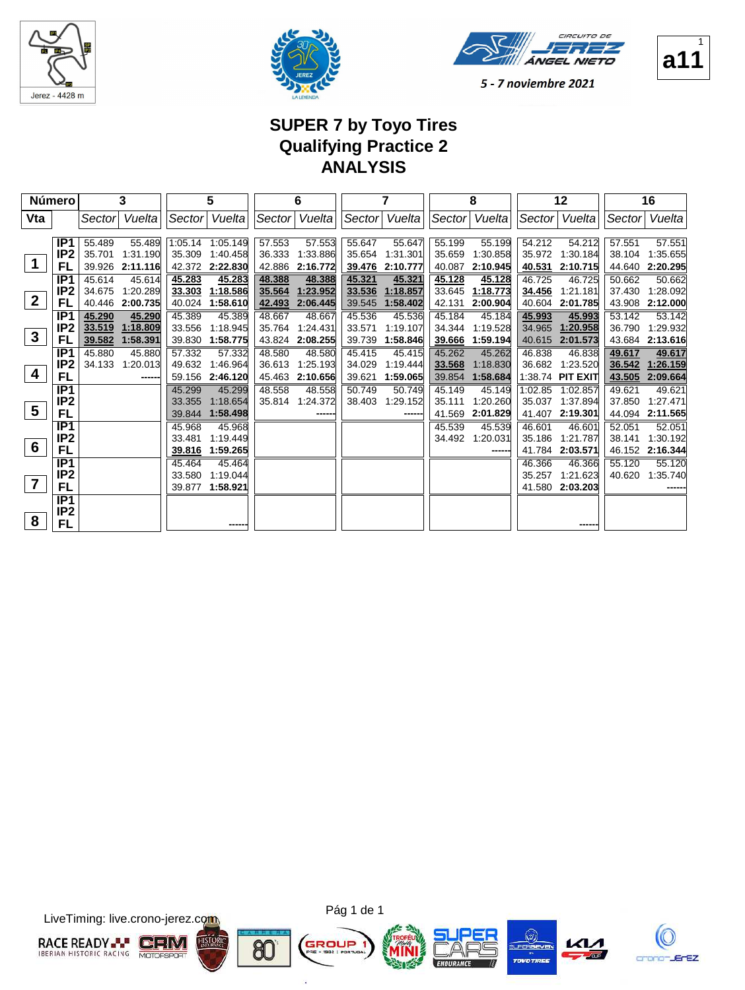





1

5 - 7 noviembre 2021

### **SUPER 7 by Toyo Tires Qualifying Practice 2 ANALYSIS**

|                         | <b>Número</b>    |        | 3               |        | 5                |        | 6        |        | 7        |        | 8        |         | 12               |        | 16       |
|-------------------------|------------------|--------|-----------------|--------|------------------|--------|----------|--------|----------|--------|----------|---------|------------------|--------|----------|
| Vta                     |                  | Sector | Vueltal         | Sector | Vueltal          | Sector | Vuelta   | Sector | Vueltal  | Sector | Vuelta   | Sector  | Vueltal          | Sector | Vuelta   |
|                         |                  |        |                 |        |                  |        |          |        |          |        |          |         |                  |        |          |
|                         | IP <sub>1</sub>  | 55.489 | 55.489          |        | 1:05.14 1:05.149 | 57.553 | 57.553   | 55.647 | 55.647   | 55.199 | 55.199   | 54.212  | 54.212           | 57.551 | 57.551   |
| 1                       | IP <sub>2</sub>  | 35.701 | 1:31.190        |        | 35.309 1:40.458  | 36.333 | 1:33.886 | 35.654 | 1:31.301 | 35.659 | 1:30.858 | 35.972  | 1:30.184         | 38.104 | 1:35.655 |
|                         | FL               |        | 39.926 2:11.116 |        | 42.372 2:22.830  | 42.886 | 2:16.772 | 39.476 | 2:10.777 | 40.087 | 2:10.945 | 40.531  | 2:10.715         | 44.640 | 2:20.295 |
|                         | IP1              | 45.614 | 45.614          | 45.283 | 45.283           | 48.388 | 48.388   | 45.321 | 45.321   | 45.128 | 45.128   | 46.725  | 46.725           | 50.662 | 50.662   |
| $\boldsymbol{2}$        | IP <sub>2</sub>  | 34.675 | 1:20.289        | 33.303 | 1:18.586         | 35.564 | 1:23.952 | 33.536 | 1:18.857 | 33.645 | 1:18.773 | 34.456  | 1:21.181         | 37.430 | 1:28.092 |
|                         | FL               | 40.446 | 2:00.735        | 40.024 | 1:58.610         | 42.493 | 2:06.445 | 39.545 | 1:58.402 | 42.131 | 2:00.904 | 40.604  | 2:01.785         | 43.908 | 2:12.000 |
|                         | IP <sub>1</sub>  | 45.290 | 45.290          | 45.389 | 45.389           | 48.667 | 48.667   | 45.536 | 45.536   | 45.184 | 45.184   | 45.993  | 45.993           | 53.142 | 53.142   |
| $\mathbf{3}$            | IP <sub>2</sub>  | 33.519 | 1:18.809        | 33.556 | 1:18.945         | 35.764 | 1:24.431 | 33.571 | 1:19.107 | 34.344 | 1:19.528 | 34.965  | 1:20.958         | 36.790 | 1:29.932 |
|                         | FL               | 39.582 | 1:58.391        | 39.830 | 1:58.775         | 43.824 | 2:08.255 | 39.739 | 1:58.846 | 39.666 | 1:59.194 | 40.615  | 2:01.573         | 43.684 | 2:13.616 |
|                         | IP1              | 45.880 | 45.880          | 57.332 | 57.332           | 48.580 | 48.580   | 45.415 | 45.415   | 45.262 | 45.262   | 46.838  | 46.838           | 49.617 | 49.617   |
|                         | IP <sub>2</sub>  | 34.133 | 1:20.013        | 49.632 | 1:46.964         | 36.613 | 1:25.193 | 34.029 | 1:19.444 | 33.568 | 1:18.830 |         | 36.682 1:23.520  | 36.542 | 1:26.159 |
| 4                       | FL               |        |                 |        | 59.156 2:46.120  | 45.463 | 2:10.656 | 39.621 | 1:59.065 | 39.854 | 1:58.684 |         | 1:38.74 PIT EXIT | 43.505 | 2:09.664 |
|                         | IP <sub>1</sub>  |        |                 | 45.299 | 45.299           | 48.558 | 48.558   | 50.749 | 50.749   | 45.149 | 45.149   | 1:02.85 | 1:02.857         | 49.621 | 49.621   |
|                         | IP <sub>2</sub>  |        |                 | 33.355 | 1:18.654         | 35.814 | 1:24.372 | 38.403 | 1:29.152 | 35.111 | 1:20.260 | 35.037  | 1:37.894         | 37.850 | 1:27.471 |
| $\overline{\mathbf{5}}$ | FL               |        |                 | 39.844 | 1:58.498         |        |          |        |          | 41.569 | 2:01.829 | 41.407  | 2:19.301         | 44.094 | 2:11.565 |
|                         | IP1              |        |                 | 45.968 | 45.968           |        |          |        |          | 45.539 | 45.539   | 46.601  | 46.601           | 52.051 | 52.051   |
|                         | IP <sub>2</sub>  |        |                 | 33.481 | 1:19.449         |        |          |        |          | 34.492 | 1:20.031 | 35.186  | 1:21.787         | 38.141 | 1:30.192 |
| 6                       | <b>FL</b>        |        |                 | 39.816 | 1:59.265         |        |          |        |          |        |          | 41.784  | 2:03.571         | 46.152 | 2:16.344 |
|                         | IP <sub>1</sub>  |        |                 | 45.464 | 45.464           |        |          |        |          |        |          | 46.366  | 46.366           | 55.120 | 55.120   |
|                         | IP <sub>2</sub>  |        |                 | 33.580 | 1:19.044         |        |          |        |          |        |          | 35.257  | 1:21.623         | 40.620 | 1:35.740 |
| $\overline{7}$          | FL               |        |                 | 39.877 | 1:58.921         |        |          |        |          |        |          | 41.580  | 2:03.203         |        |          |
|                         | $\overline{IP1}$ |        |                 |        |                  |        |          |        |          |        |          |         |                  |        |          |
|                         | IP <sub>2</sub>  |        |                 |        |                  |        |          |        |          |        |          |         |                  |        |          |
| 8                       | FL               |        |                 |        |                  |        |          |        |          |        |          |         |                  |        |          |

LiveTiming: live.crono-jerez.com





×.







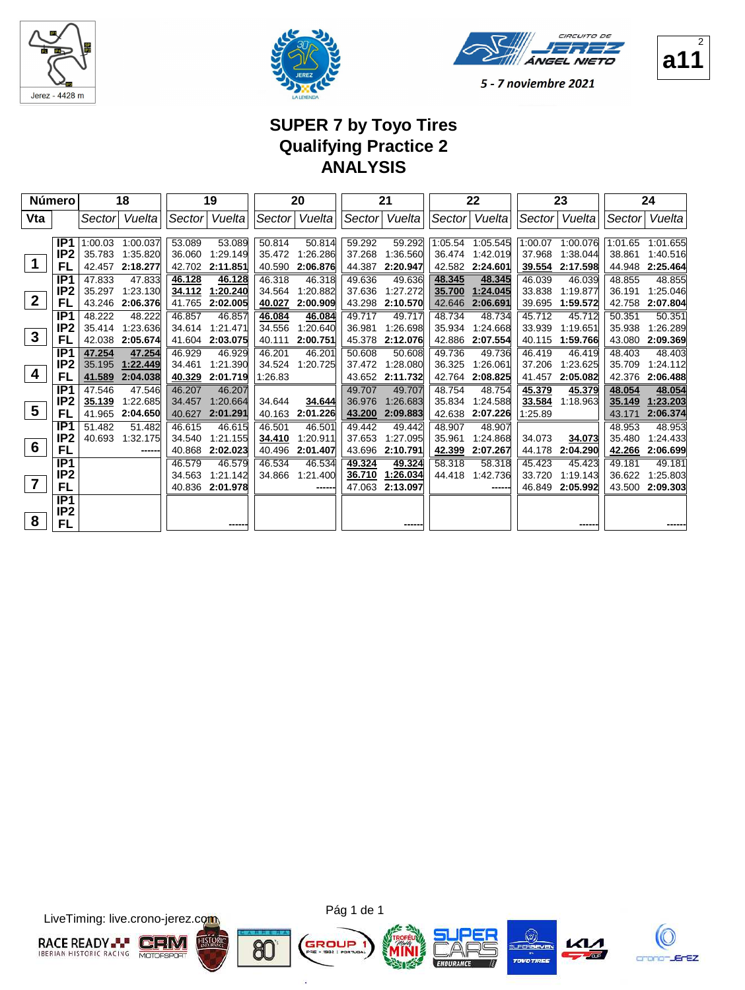





5 - 7 noviembre 2021

# **SUPER 7 by Toyo Tires Qualifying Practice 2 ANALYSIS**

|                 | <b>Número</b>   |         | 18       |        | 19              |         | 20            |        | 21       |         | 22       |         | 23       |         | 24       |
|-----------------|-----------------|---------|----------|--------|-----------------|---------|---------------|--------|----------|---------|----------|---------|----------|---------|----------|
| Vta             |                 | Sectorl | Vuelta   |        | Sector Vuelta   |         | Sector Vuelta | Sector | Vuelta   | Sector  | Vuelta   | Sector  | Vuelta   | Sector  | Vuelta   |
|                 |                 |         |          |        |                 |         |               |        |          |         |          |         |          |         |          |
|                 | IP1             | 1:00.03 | 1:00.037 | 53.089 | 53.089          | 50.814  | 50.814        | 59.292 | 59.292   | 1:05.54 | 1:05.545 | 1:00.07 | 1:00.076 | 1:01.65 | 1:01.655 |
|                 | IP <sub>2</sub> | 35.783  | 1:35.820 | 36.060 | 1:29.149        | 35.472  | 1:26.286      | 37.268 | 1:36.560 | 36.474  | 1:42.019 | 37.968  | 1:38.044 | 38.861  | 1:40.516 |
|                 | FL              | 42.457  | 2:18.277 | 42.702 | 2:11.851        | 40.590  | 2:06.876      | 44.387 | 2:20.947 | 42.582  | 2:24.601 | 39.554  | 2:17.598 | 44.948  | 2:25.464 |
|                 | IP1             | 47.833  | 47.833   | 46.128 | 46.128          | 46.318  | 46.318        | 49.636 | 49.636   | 48.345  | 48.345   | 46.039  | 46.039   | 48.855  | 48.855   |
| $\mathbf{2}$    | IP <sub>2</sub> | 35.297  | 1:23.130 | 34.112 | 1:20.240        | 34.564  | 1:20.882      | 37.636 | 1:27.272 | 35.700  | 1:24.045 | 33.838  | 1:19.877 | 36.191  | 1:25.046 |
|                 | FL              | 43.246  | 2:06.376 | 41.765 | 2:02.005        | 40.027  | 2:00.909      | 43.298 | 2:10.570 | 42.646  | 2:06.691 | 39.695  | 1:59.572 | 42.758  | 2:07.804 |
|                 | IP <sub>1</sub> | 48.222  | 48.222   | 46.857 | 46.857          | 46.084  | 46.084        | 49.717 | 49.717   | 48.734  | 48.734   | 45.712  | 45.712   | 50.351  | 50.351   |
| $\mathbf{3}$    | IP <sub>2</sub> | 35.414  | 1:23.636 | 34.614 | 1:21.471        | 34.556  | 1:20.640      | 36.981 | 1:26.698 | 35.934  | 1:24.668 | 33.939  | 1:19.651 | 35.938  | 1:26.289 |
|                 | FL              | 42.038  | 2:05.674 |        | 41.604 2:03.075 | 40.111  | 2:00.751      | 45.378 | 2:12.076 | 42.886  | 2:07.554 | 40.115  | 1:59.766 | 43.080  | 2:09.369 |
|                 | IP <sub>1</sub> | 47.254  | 47.254   | 46.929 | 46.929          | 46.201  | 46.201        | 50.608 | 50.608   | 49.736  | 49.736   | 46.419  | 46.419   | 48.403  | 48.403   |
| 4               | IP2             | 35.195  | 1:22.449 | 34.461 | 1:21.390        | 34.524  | 1:20.725      | 37.472 | 1:28.080 | 36.325  | 1:26.061 | 37.206  | 1:23.625 | 35.709  | 1:24.112 |
|                 | FL              | 41.589  | 2:04.038 | 40.329 | 2:01.719        | 1:26.83 |               | 43.652 | 2:11.732 | 42.764  | 2:08.825 | 41.457  | 2:05.082 | 42.376  | 2:06.488 |
|                 | IP <sub>1</sub> | 47.546  | 47.546   | 46.207 | 46.207          |         |               | 49.707 | 49.707   | 48.754  | 48.754   | 45.379  | 45.379   | 48.054  | 48.054   |
| $5\phantom{.0}$ | IP <sub>2</sub> | 35.139  | 1:22.685 | 34.457 | 1:20.664        | 34.644  | 34.644        | 36.976 | 1:26.683 | 35.834  | 1:24.588 | 33.584  | 1:18.963 | 35.149  | 1:23.203 |
|                 | FL              | 41.965  | 2:04.650 | 40.627 | 2:01.291        | 40.163  | 2:01.226      | 43.200 | 2:09.883 | 42.638  | 2:07.226 | 1:25.89 |          | 43.171  | 2:06.374 |
|                 | IP <sub>1</sub> | 51.482  | 51.482   | 46.615 | 46.615          | 46.501  | 46.501        | 49.442 | 49.442   | 48.907  | 48.907   |         |          | 48.953  | 48.953   |
|                 | IP <sub>2</sub> | 40.693  | 1:32.175 | 34.540 | 1:21.155        | 34.410  | 1:20.911      | 37.653 | 1:27.095 | 35.961  | 1:24.868 | 34.073  | 34.073   | 35.480  | 1:24.433 |
| 6               | FL              |         | ------   | 40.868 | 2:02.023        | 40.496  | 2:01.407      | 43.696 | 2:10.791 | 42.399  | 2:07.267 | 44.178  | 2:04.290 | 42.266  | 2:06.699 |
|                 | IP1             |         |          | 46.579 | 46.579          | 46.534  | 46.534        | 49.324 | 49.324   | 58.318  | 58.318   | 45.423  | 45.423   | 49.181  | 49.181   |
| $\overline{7}$  | IP <sub>2</sub> |         |          | 34.563 | 1:21.142        | 34.866  | 1:21.400      | 36.710 | 1:26.034 | 44.418  | 1:42.736 | 33.720  | 1.19.143 | 36.622  | 1:25.803 |
|                 | FL              |         |          |        | 40.836 2:01.978 |         |               | 47.063 | 2:13.097 |         | ------   | 46.849  | 2:05.992 | 43.500  | 2:09.303 |
|                 | IP1             |         |          |        |                 |         |               |        |          |         |          |         |          |         |          |
|                 | IP <sub>2</sub> |         |          |        |                 |         |               |        |          |         |          |         |          |         |          |
| 8               | FL              |         |          |        | -----           |         |               |        |          |         |          |         |          |         |          |

LiveTiming: live.crono-jerez.com



×.







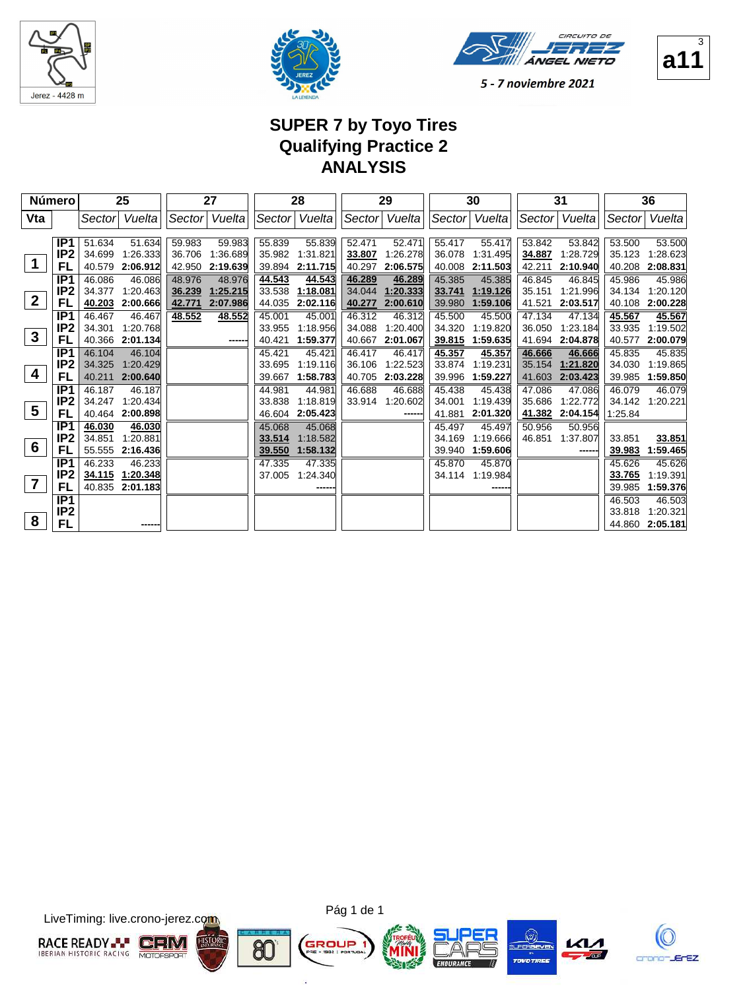





5 - 7 noviembre 2021

# **SUPER 7 by Toyo Tires Qualifying Practice 2 ANALYSIS**

|                         | <b>Número</b>                            | 25                                           |                                |                            | 27                             |                            | 28                             |                            | 29                             |                            | 30                             |                            | 31                             |                             | 36                             |
|-------------------------|------------------------------------------|----------------------------------------------|--------------------------------|----------------------------|--------------------------------|----------------------------|--------------------------------|----------------------------|--------------------------------|----------------------------|--------------------------------|----------------------------|--------------------------------|-----------------------------|--------------------------------|
| Vta                     |                                          | Sector                                       | Vuelta                         |                            | Sector Vuelta                  |                            | Sector Vuelta                  | Sector                     | Vuelta                         |                            | Sector Vuelta                  | Sector                     | Vuelta                         | Sector                      | Vuelta                         |
| $\mathbf 1$             | IP <sub>1</sub><br>IP <sub>2</sub><br>FL | 51.634<br>34.699<br>40.579                   | 51.634<br>1:26.333<br>2:06.912 | 59.983<br>36.706<br>42.950 | 59.983<br>1:36.689<br>2:19.639 | 55.839<br>35.982<br>39.894 | 55.839<br>1:31.821<br>2:11.715 | 52.471<br>33.807<br>40.297 | 52.471<br>1:26.278<br>2:06.575 | 55.417<br>36.078<br>40.008 | 55.417<br>1:31.495<br>2:11.503 | 53.842<br>34.887<br>42.211 | 53.842<br>1:28.729<br>2:10.940 | 53.500<br>35.123<br>40.208  | 53.500<br>1:28.623<br>2:08.831 |
| $\boldsymbol{2}$        | IP <sub>1</sub><br>IP <sub>2</sub><br>FL | 46.086<br>34.377<br>40.203                   | 46.086<br>1:20.463<br>2:00.666 | 48.976<br>36.239<br>42.771 | 48.976<br>1:25.215<br>2:07.986 | 44.543<br>33.538<br>44.035 | 44.543<br>1:18.081<br>2:02.116 | 46.289<br>34.044<br>40.277 | 46.289<br>1:20.333<br>2:00.610 | 45.385<br>33.741<br>39.980 | 45.385<br>1:19.126<br>1:59.106 | 46.845<br>35.151<br>41.521 | 46.845<br>1:21.996<br>2:03.517 | 45.986<br>34.134<br>40.108  | 45.986<br>1:20.120<br>2:00.228 |
| $\mathbf{3}$            | IP <sub>1</sub><br>IP <sub>2</sub><br>FL | 46.467<br>34.301<br>40.366                   | 46.467<br>1:20.768<br>2:01.134 | 48.552                     | 48.552<br>-----                | 45.001<br>33.955<br>40.421 | 45.001<br>1:18.956<br>1:59.377 | 46.312<br>34.088<br>40.667 | 46.312<br>1:20.400<br>2:01.067 | 45.500<br>34.320<br>39.815 | 45.500<br>1:19.820<br>1:59.635 | 47.134<br>36.050<br>41.694 | 47.134<br>1:23.184<br>2:04.878 | 45.567<br>33.935<br>40.577  | 45.567<br>1:19.502<br>2:00.079 |
| 4                       | IP <sub>1</sub><br>IP <sub>2</sub><br>FL | 46.104<br>34.325<br>40.211                   | 46.104<br>1:20.429<br>2:00.640 |                            |                                | 45.421<br>33.695<br>39.667 | 45.421<br>1:19.116<br>1:58.783 | 46.417<br>36.106<br>40.705 | 46.417<br>1:22.523<br>2:03.228 | 45.357<br>33.874<br>39.996 | 45.357<br>1:19.231<br>1:59.227 | 46.666<br>35.154<br>41.603 | 46.666<br>1:21.820<br>2:03.423 | 45.835<br>34.030<br>39.985  | 45.835<br>1:19.865<br>1:59.850 |
| $\overline{\mathbf{5}}$ | IP <sub>1</sub><br>IP <sub>2</sub><br>FL | 46.187<br>34.247<br>40.464                   | 46.187<br>1:20.434<br>2:00.898 |                            |                                | 44.981<br>33.838<br>46.604 | 44.981<br>1:18.819<br>2:05.423 | 46.688<br>33.914           | 46.688<br>1:20.602<br>------   | 45.438<br>34.001<br>41.881 | 45.438<br>1:19.439<br>2:01.320 | 47.086<br>35.686<br>41.382 | 47.086<br>1:22.772<br>2:04.154 | 46.079<br>34.142<br>1:25.84 | 46.079<br>1:20.221             |
| 6                       | IP <sub>1</sub><br>IP <sub>2</sub><br>FL | 46.030<br>34.851<br>55.555                   | 46.030<br>1:20.881<br>2:16.436 |                            |                                | 45.068<br>33.514<br>39.550 | 45.068<br>1:18.582<br>1:58.132 |                            |                                | 45.497<br>34.169<br>39.940 | 45.497<br>1:19.666<br>1:59.606 | 50.956<br>46.851           | 50.956<br>1:37.807             | 33.851<br>39.983            | 33.851<br>1:59.465             |
| $\overline{\mathbf{7}}$ | IP <sub>1</sub><br>IP <sub>2</sub><br>FL | 46.233<br>34.115 1:20.348<br>40.835 2:01.183 | 46.233                         |                            |                                | 47.335<br>37.005           | 47.335<br>1:24.340             |                            |                                | 45.870<br>34.114           | 45.870<br>1:19.984             |                            |                                | 45.626<br>33.765<br>39.985  | 45.626<br>1:19.391<br>1:59.376 |
| 8                       | IP1<br>IP <sub>2</sub><br>FL             |                                              | -----                          |                            |                                |                            |                                |                            |                                |                            |                                |                            |                                | 46.503<br>33.818<br>44.860  | 46.503<br>1:20.321<br>2:05.181 |

LiveTiming: live.crono-jerez.com





×.





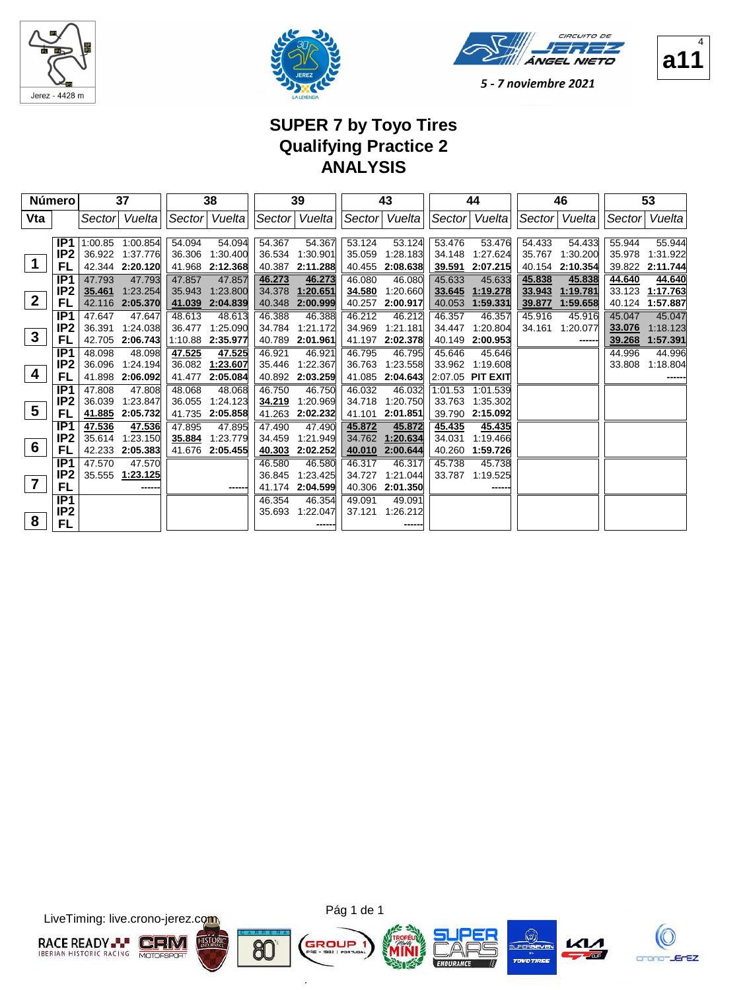





4

5 - 7 noviembre 2021

## **SUPER 7 by Toyo Tires Qualifying Practice 2 ANALYSIS**

|                 | Número          |               | 37               |        | 38               |        | 39              |        | 43            |                    | 44                  |        | 46              |        | 53              |
|-----------------|-----------------|---------------|------------------|--------|------------------|--------|-----------------|--------|---------------|--------------------|---------------------|--------|-----------------|--------|-----------------|
| Vta             |                 | Sector        | Vueltal          |        | Sector Vuelta    |        | Sector  Vuelta  |        | Sector Vuelta |                    | Sector Vuelta       |        | Sector   Vuelta | Sector | Vuelta          |
|                 |                 |               |                  |        |                  |        |                 |        |               |                    |                     |        |                 |        |                 |
|                 | IP <sub>1</sub> |               | 1:00.85 1:00.854 | 54.094 | 54.094           | 54.367 | 54.367          | 53.124 | 53.124        | 53.476             | 53.476              | 54.433 | 54.433          | 55.944 | 55.944          |
|                 | IP2             |               | 36.922 1:37.776  | 36.306 | 1:30.400         |        | 36.534 1:30.901 | 35.059 | 1:28.183      | 34.148             | 1:27.624            | 35.767 | 1:30.200        |        | 35.978 1:31.922 |
| $\mathbf 1$     | FL              |               | 42.344 2:20.120  |        | 41.968 2:12.368  | 40.387 | 2:11.288        | 40.455 | 2:08.638      | 39.591             | 2:07.215            | 40.154 | 2:10.354        | 39.822 | 2:11.744        |
|                 | IP <sub>1</sub> | 47.793        | 47.793           | 47.857 | 47.857           | 46.273 | 46.273          | 46.080 | 46.080        | 45.633             | 45.633              | 45.838 | 45.838          | 44.640 | 44.640          |
|                 | IP <sub>2</sub> | 35.461        | 1:23.254         | 35.943 | 1:23.800         | 34.378 | 1:20.651        | 34.580 | 1:20.660      | 33.645             | 1:19.278            | 33.943 | 1:19.781        | 33.123 | 1:17.763        |
| $\overline{2}$  | FL              |               | 42.116 2:05.370  | 41.039 | 2:04.839         | 40.348 | 2:00.999        | 40.257 | 2:00.917      | 40.053             | 1:59.331            | 39.877 | 1:59.658        | 40.124 | 1:57.887        |
|                 | IP <sub>1</sub> | 47.647        | 47.647           | 48.613 | 48.613           | 46.388 | 46.388          | 46.212 | 46.212        | 46.357             | 46.357              | 45.916 | 45.916          | 45.047 | 45.047          |
|                 | IP <sub>2</sub> | 36.391        | 1.24.038         | 36.477 | 1:25.090         | 34.784 | 1:21.172        | 34.969 | 1:21.181      | 34.447             | 1:20.804            | 34.161 | 1:20.077        | 33.076 | 1:18.123        |
| $\mathbf{3}$    | FL              | 42.705        | 2:06.743         |        | 1:10.88 2:35.977 | 40.789 | 2:01.961        | 41.197 | 2:02.378      | 40.149             | 2:00.953            |        |                 | 39.268 | 1:57.391        |
|                 | IP <sub>1</sub> | 48.098        | 48.098           | 47.525 | 47.525           | 46.921 | 46.921          | 46.795 | 46.795        | 45.646             | 45.646              |        |                 | 44.996 | 44.996          |
|                 | IP <sub>2</sub> | 36.096        | 1:24.194         |        | 36.082 1:23.607  | 35.446 | 1:22.367        | 36.763 | 1:23.558      | 33.962             | 1:19.608            |        |                 | 33.808 | 1:18.804        |
| 4               | FL              | 41.898        | 2:06.092         | 41.477 | 2:05.084         | 40.892 | 2:03.259        | 41.085 | 2:04.643      |                    | $ 2:07.05$ PIT EXIT |        |                 |        |                 |
|                 | IP <sub>1</sub> | 47.808        | 47.808           | 48.068 | 48.068           | 46.750 | 46.750          | 46.032 | 46.032        | $1:01.53$ 1:01.539 |                     |        |                 |        |                 |
|                 | IP <sub>2</sub> | 36.039        | 1:23.847         | 36.055 | 1:24.123         | 34.219 | 1:20.969        | 34.718 | 1:20.750      | 33.763             | 1:35.302            |        |                 |        |                 |
| $5\phantom{1}$  | FL              | <u>41.885</u> | 2:05.732         | 41.735 | 2:05.858         | 41.263 | 2:02.232        | 41.101 | 2:01.851      | 39.790             | 2:15.092            |        |                 |        |                 |
|                 | IP1             | 47.536        | 47.536           | 47.895 | 47.895           | 47.490 | 47.490          | 45.872 | 45.872        | 45.435             | 45.435              |        |                 |        |                 |
|                 | IP <sub>2</sub> | 35.614        | 1:23.150         | 35.884 | 1:23.779         | 34.459 | 1:21.949        | 34.762 | 1:20.634      | 34.031             | 1:19.466            |        |                 |        |                 |
| $6\phantom{1}6$ | FL              | 42.233        | 2:05.383         |        | 41.676 2:05.455  | 40.303 | 2:02.252        | 40.010 | 2:00.644      | 40.260             | 1:59.726            |        |                 |        |                 |
|                 | IP <sub>1</sub> | 47.570        | 47.570           |        |                  | 46.580 | 46.580          | 46.317 | 46.317        | 45.738             | 45.738              |        |                 |        |                 |
|                 | IP2             | 35.555        | 1:23.125         |        |                  | 36.845 | 1:23.425        | 34.727 | 1:21.044      | 33.787             | 1.19.525            |        |                 |        |                 |
| $\overline{7}$  | FL              |               | -----            |        | -----            | 41.174 | 2:04.599        | 40.306 | 2:01.350      |                    |                     |        |                 |        |                 |
|                 | IP1             |               |                  |        |                  | 46.354 | 46.354          | 49.091 | 49.091        |                    |                     |        |                 |        |                 |
|                 | IP <sub>2</sub> |               |                  |        |                  | 35.693 | 1:22.047        | 37.121 | 1:26.212      |                    |                     |        |                 |        |                 |
| 8               | FL              |               |                  |        |                  |        |                 |        |               |                    |                     |        |                 |        |                 |

LiveTiming: live.crono-jerez.com





×.







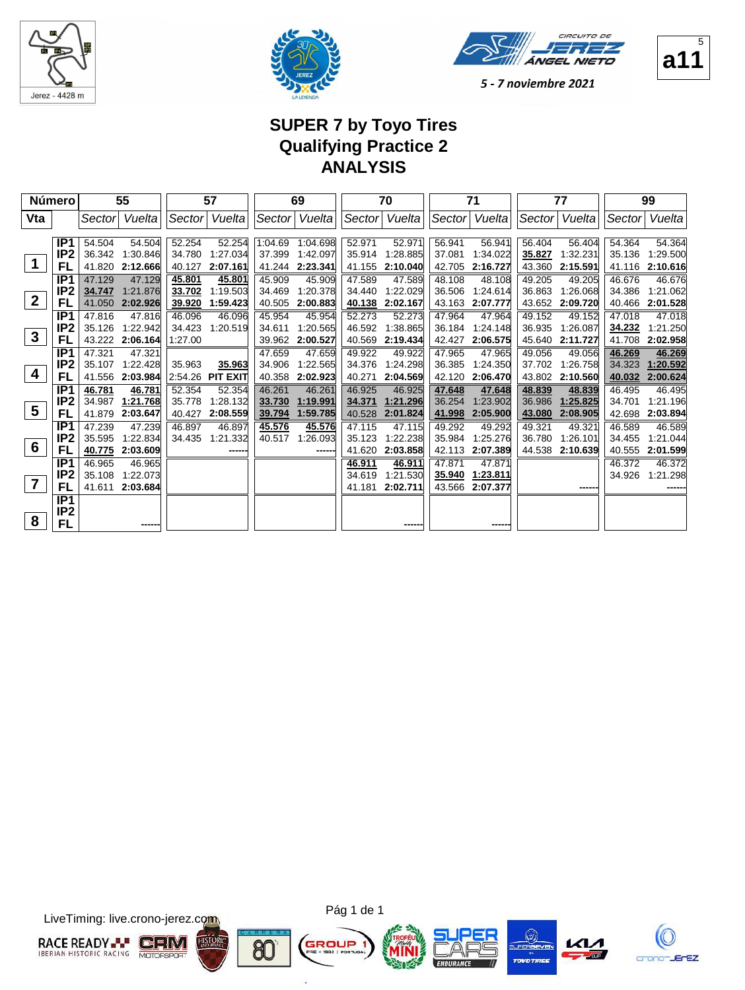





### **a11**  $\overline{5}$

### **SUPER 7 by Toyo Tires Qualifying Practice 2 ANALYSIS**

|                         | <b>Número</b>   |        | 55              |         | 57               |         | 69       |        | 70            |        | 71              |        | 77       |        | 99       |
|-------------------------|-----------------|--------|-----------------|---------|------------------|---------|----------|--------|---------------|--------|-----------------|--------|----------|--------|----------|
| Vta                     |                 | Sector | Vuelta          | Sector  | Vuelta           | Sector  | Vuelta   |        | Sector Vuelta | Sector | Vuelta          | Sector | Vueltal  | Sector | Vuelta   |
|                         |                 |        |                 |         |                  |         |          |        |               |        |                 |        |          |        |          |
|                         | IP <sub>1</sub> | 54.504 | 54.504          | 52.254  | 52.254           | 1:04.69 | 1:04.698 | 52.971 | 52.971        | 56.941 | 56.941          | 56.404 | 56.404   | 54.364 | 54.364   |
|                         | IP <sub>2</sub> | 36.342 | 1:30.846        | 34.780  | 1:27.034         | 37.399  | 1:42.097 | 35.914 | 1:28.885      | 37.081 | 1:34.022        | 35.827 | 1:32.231 | 35.136 | 1:29.500 |
|                         | FL              | 41.820 | 2:12.666        | 40.127  | 2:07.161         | 41.244  | 2:23.341 | 41.155 | 2:10.040      | 42.705 | 2:16.727        | 43.360 | 2:15.591 | 41.116 | 2:10.616 |
|                         | IP1             | 47.129 | 47.129          | 45.801  | 45.801           | 45.909  | 45.909   | 47.589 | 47.589        | 48.108 | 48.108          | 49.205 | 49.205   | 46.676 | 46.676   |
|                         | IP <sub>2</sub> | 34.747 | 1:21.876        | 33.702  | 1:19.503         | 34.469  | 1:20.378 | 34.440 | 1:22.029      | 36.506 | 1:24.614        | 36.863 | 1:26.068 | 34.386 | 1:21.062 |
| $\boldsymbol{2}$        | FL              | 41.050 | 2:02.926        | 39.920  | 1:59.423         | 40.505  | 2:00.883 | 40.138 | 2:02.167      | 43.163 | 2:07.777        | 43.652 | 2:09.720 | 40.466 | 2:01.528 |
|                         | IP <sub>1</sub> | 47.816 | 47.816          | 46.096  | 46.096           | 45.954  | 45.954   | 52.273 | 52.273        | 47.964 | 47.964          | 49.152 | 49.152   | 47.018 | 47.018   |
|                         | IP <sub>2</sub> | 35.126 | 1:22.942        | 34.423  | 1:20.519         | 34.611  | 1:20.565 | 46.592 | 1:38.865      | 36.184 | 1:24.148        | 36.935 | 1:26.087 | 34.232 | 1:21.250 |
| $\mathbf{3}$            | FL              | 43.222 | 2:06.164        | 1:27.00 |                  | 39.962  | 2:00.527 | 40.569 | 2:19.434      | 42.427 | 2:06.575        | 45.640 | 2:11.727 | 41.708 | 2:02.958 |
|                         | IP1             | 47.321 | 47.321          |         |                  | 47.659  | 47.659   | 49.922 | 49.922        | 47.965 | 47.965          | 49.056 | 49.056   | 46.269 | 46.269   |
|                         | IP <sub>2</sub> | 35.107 | 1:22.428        | 35.963  | 35.963           | 34.906  | 1:22.565 | 34.376 | 1:24.298      | 36.385 | 1:24.350        | 37.702 | 1:26.758 | 34.323 | 1:20.592 |
| 4                       | FL              | 41.556 | 2:03.984        |         | 2:54.26 PIT EXIT | 40.358  | 2:02.923 | 40.271 | 2:04.569      | 42.120 | 2:06.470        | 43.802 | 2:10.560 | 40.032 | 2:00.624 |
|                         | IP1             | 46.781 | 46.781          | 52.354  | 52.354           | 46.261  | 46.261   | 46.925 | 46.925        | 47.648 | 47.648          | 48.839 | 48.839   | 46.495 | 46.495   |
|                         | IP <sub>2</sub> | 34.987 | 1:21.768        | 35.778  | 1:28.132         | 33.730  | 1:19.991 | 34.371 | 1:21.296      | 36.254 | 1:23.902        | 36.986 | 1:25.825 | 34.701 | 1:21.196 |
| $\overline{\mathbf{5}}$ | FL              | 41.879 | 2:03.647        | 40.427  | 2:08.559         | 39.794  | 1:59.785 | 40.528 | 2:01.824      | 41.998 | 2:05.900        | 43.080 | 2:08.905 | 42.698 | 2:03.894 |
|                         | IP <sub>1</sub> | 47.239 | 47.239          | 46.897  | 46.897           | 45.576  | 45.576   | 47.115 | 47.115        | 49.292 | 49.292          | 49.321 | 49.321   | 46.589 | 46.589   |
|                         | IP <sub>2</sub> | 35.595 | 1:22.834        | 34.435  | 1:21.332         | 40.517  | 1:26.093 | 35.123 | 1:22.238      | 35.984 | 1:25.276        | 36.780 | 1:26.101 | 34.455 | 1:21.044 |
| 6                       | FL              | 40.775 | 2:03.609        |         |                  |         | -----    | 41.620 | 2:03.858      | 42.113 | 2:07.389        | 44.538 | 2:10.639 | 40.555 | 2:01.599 |
|                         | IP <sub>1</sub> | 46.965 | 46.965          |         |                  |         |          | 46.911 | 46.911        | 47.871 | 47.871          |        |          | 46.372 | 46.372   |
|                         | IP <sub>2</sub> | 35.108 | 1:22.073        |         |                  |         |          | 34.619 | 1:21.530      | 35.940 | 1:23.811        |        |          | 34.926 | 1:21.298 |
|                         | FL              |        | 41.611 2:03.684 |         |                  |         |          | 41.181 | 2:02.711      |        | 43.566 2:07.377 |        |          |        |          |
|                         | IP <sub>1</sub> |        |                 |         |                  |         |          |        |               |        |                 |        |          |        |          |
|                         | IP <sub>2</sub> |        |                 |         |                  |         |          |        |               |        |                 |        |          |        |          |
| 8                       | FL              |        |                 |         |                  |         |          |        |               |        | -----           |        |          |        |          |

LiveTiming: live.crono-jerez.com



Pág 1 de 1

×.







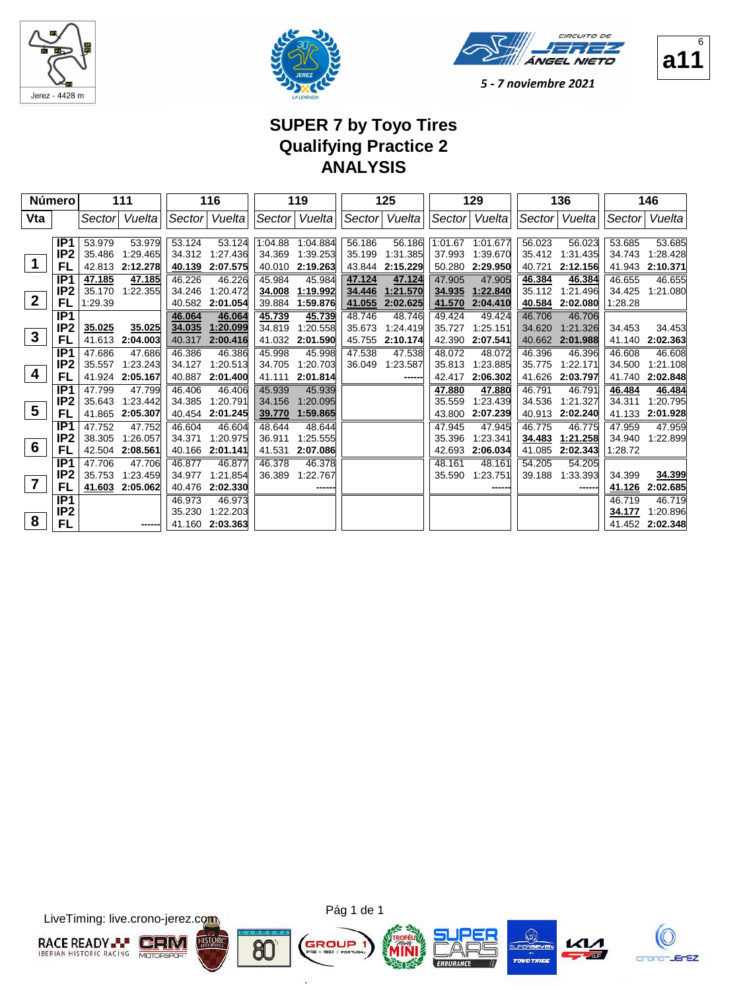





5 - 7 noviembre 2021

# **SUPER 7 by Toyo Tires Qualifying Practice 2 ANALYSIS**

|                         | <b>Número</b>   |                  | 111                |                  | 116                |                  | 119                          |                  | 125                |                  | 129                  |                  | 136                  |                  | 146                |
|-------------------------|-----------------|------------------|--------------------|------------------|--------------------|------------------|------------------------------|------------------|--------------------|------------------|----------------------|------------------|----------------------|------------------|--------------------|
| Vta                     |                 | Sectorl          | Vuelta             |                  | Sector Vuelta      |                  | Sector Vuelta                | Sector           | Vuelta             |                  | Sector Vuelta        |                  | Sector  Vuelta       | Sector           | Vuelta             |
|                         |                 |                  |                    |                  |                    |                  |                              |                  |                    |                  |                      |                  |                      |                  |                    |
|                         | IP1             | 53.979<br>35.486 | 53.979<br>1:29.465 | 53.124<br>34.312 | 53.124<br>1:27.436 |                  | 1:04.88 1:04.884<br>1:39.253 | 56.186           | 56.186<br>1:31.385 | 1:01.67          | 1:01.677             | 56.023           | 56.023               | 53.685<br>34.743 | 53.685<br>1:28.428 |
| $\mathbf 1$             | IP2<br>FL       | 42.813           | 2:12.278           | 40.139           | 2:07.575           | 34.369<br>40.010 | 2:19.263                     | 35.199<br>43.844 | 2:15.229           | 37.993<br>50.280 | 1:39.670<br>2:29.950 | 35.412<br>40.721 | 1:31.435<br>2:12.156 | 41.943           | 2:10.371           |
|                         | IP <sub>1</sub> |                  |                    | 46.226           | 46.226             | 45.984           | 45.984                       |                  | 47.124             | 47.905           | 47.905               |                  |                      | 46.655           | 46.655             |
|                         | IP <sub>2</sub> | 47.185<br>35.170 | 47.185<br>1:22.355 | 34.246           | 1:20.472           | 34.008           | 1:19.992                     | 47.124<br>34.446 | 1:21.570           | 34.935           | 1:22.840             | 46.384<br>35.112 | 46.384<br>1:21.496   | 34.425           | 1:21.080           |
| $\boldsymbol{2}$        | FL              | 1:29.39          |                    |                  | 40.582 2:01.054    | 39.884           | 1:59.876                     | 41.055           | 2:02.625           | 41.570           | 2:04.410             | 40.584           | 2:02.080             | 1:28.28          |                    |
|                         | IP <sub>1</sub> |                  |                    | 46.064           | 46.064             | 45.739           | 45.739                       | 48.746           | 48.746             | 49.424           | 49.424               | 46.706           | 46.706               |                  |                    |
|                         | IP <sub>2</sub> | 35.025           | 35.025             | 34.035           | 1:20.099           | 34.819           | 1:20.558                     | 35.673           | 1:24.419           | 35.727           | 1:25.151             | 34.620           | 1:21.326             | 34.453           | 34.453             |
| $\mathbf{3}$            | FL              | 41.613           | 2:04.003           | 40.317           | 2:00.416           | 41.032           | 2:01.590                     | 45.755           | 2:10.174           | 42.390           | 2:07.541             | 40.662           | 2:01.988             | 41.140           | 2:02.363           |
|                         | IP <sub>1</sub> | 47.686           | 47.686             | 46.386           | 46.386             | 45.998           | 45.998                       | 47.538           | 47.538             | 48.072           | 48.072               | 46.396           | 46.396               | 46.608           | 46.608             |
|                         | IP <sub>2</sub> | 35.557           | 1:23.243           | 34.127           | 1:20.513           | 34.705           | 1:20.703                     | 36.049           | 1:23.587           | 35.813           | 1:23.885             | 35.775           | 1:22.171             | 34.500           | 1:21.108           |
| 4                       | FL              | 41.924           | 2:05.167           | 40.887           | 2:01.400           | 41.111           | 2:01.814                     |                  | ------             | 42.417           | 2:06.302             | 41.626           | 2:03.797             | 41.740           | 2:02.848           |
|                         | IP <sub>1</sub> | 47.799           | 47.799             | 46.406           | 46.406             | 45.939           | 45.939                       |                  |                    | 47.880           | 47.880               | 46.791           | 46.791               | 46.484           | 46.484             |
|                         | IP <sub>2</sub> | 35.643           | 1:23.442           | 34.385           | 1:20.791           | 34.156           | 1:20.095                     |                  |                    | 35.559           | 1:23.439             | 34.536           | 1:21.327             | 34.311           | 1:20.795           |
| $\overline{\mathbf{5}}$ | FL              | 41.865           | 2:05.307           | 40.454           | 2:01.245           | 39.770           | 1:59.865                     |                  |                    | 43.800           | 2:07.239             | 40.913           | 2:02.240             | 41.133           | 2:01.928           |
|                         | IP <sub>1</sub> | 47.752           | 47.752             | 46.604           | 46.604             | 48.644           | 48.644                       |                  |                    | 47.945           | 47.945               | 46.775           | 46.775               | 47.959           | 47.959             |
|                         | IP <sub>2</sub> | 38.305           | 1:26.057           | 34.371           | 1:20.975           | 36.911           | 1:25.555                     |                  |                    | 35.396           | 1:23.341             | 34.483           | 1:21.258             | 34.940           | 1:22.899           |
| 6                       | FL              | 42.504           | 2:08.561           | 40.166           | 2:01.141           | 41.531           | 2:07.086                     |                  |                    | 42.693           | 2:06.034             | 41.085           | 2:02.343             | 1:28.72          |                    |
|                         | IP <sub>1</sub> | 47.706           | 47.706             | 46.877           | 46.877             | 46.378           | 46.378                       |                  |                    | 48.161           | 48.161               | 54.205           | 54.205               |                  |                    |
|                         | IP <sub>2</sub> | 35.753           | 1.23.459           | 34.977           | 1:21.854           | 36,389           | 1:22.767                     |                  |                    | 35.590           | 1:23.751             | 39.188           | 1:33.393             | 34.399           | 34.399             |
| $\overline{\mathbf{7}}$ | FL              | 41.603           | 2:05.062           |                  | 40.476 2:02.330    |                  | -----                        |                  |                    |                  |                      |                  | ------               | 41.126           | 2:02.685           |
|                         | IP <sub>1</sub> |                  |                    | 46.973           | 46.973             |                  |                              |                  |                    |                  |                      |                  |                      | 46.719           | 46.719             |
| 8                       | IP <sub>2</sub> |                  |                    | 35.230           | 1:22.203           |                  |                              |                  |                    |                  |                      |                  |                      | 34.177           | 1:20.896           |
|                         | FL              |                  | -----              |                  | 41.160 2:03.363    |                  |                              |                  |                    |                  |                      |                  |                      | 41.452           | 2:02.348           |

LiveTiming: live.crono-jerez.com



×.

80







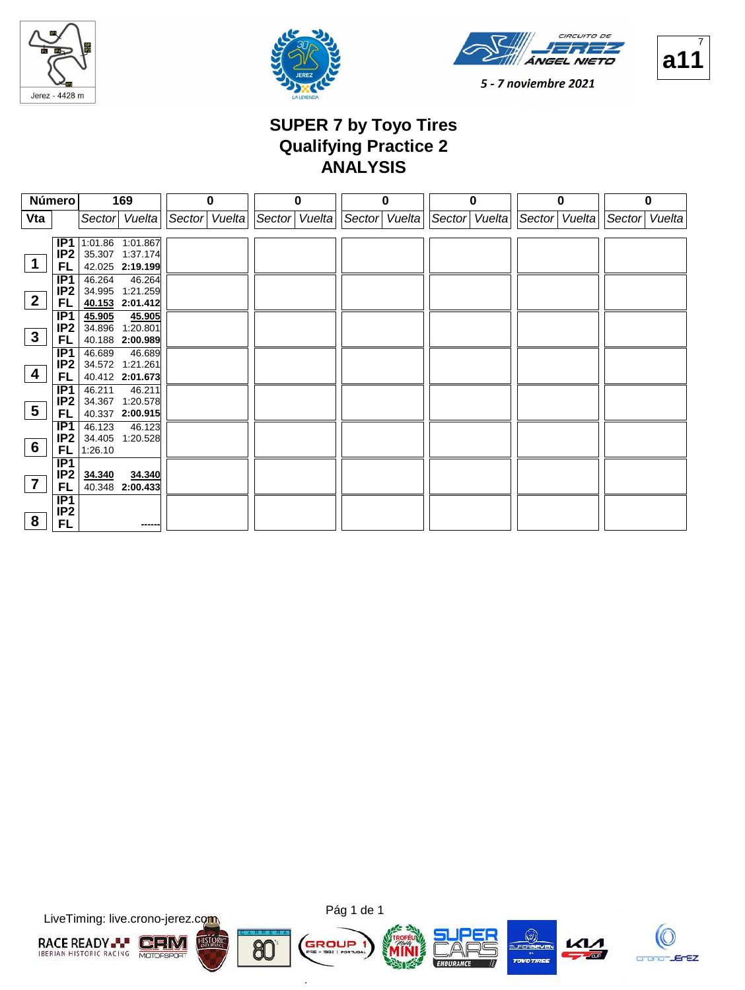







### **SUPER 7 by Toyo Tires Qualifying Practice 2 ANALYSIS**

|                 | Número          | 169                              | $\bf{0}$      | 0 | $\bf{0}$                    | $\bf{0}$      | $\bf{0}$      | 0             |
|-----------------|-----------------|----------------------------------|---------------|---|-----------------------------|---------------|---------------|---------------|
| Vta             |                 | Sector Vuelta                    | Sector Vuelta |   | Sector Vuelta Sector Vuelta | Sector Vuelta | Sector Vuelta | Sector Vuelta |
|                 |                 |                                  |               |   |                             |               |               |               |
|                 | IP1             | 1:01.86 1:01.867                 |               |   |                             |               |               |               |
|                 | IP <sub>2</sub> | 35.307 1:37.174                  |               |   |                             |               |               |               |
|                 | <b>FL</b>       | 42.025 2:19.199                  |               |   |                             |               |               |               |
|                 | IP1<br>IP2      | 46.264 46.264                    |               |   |                             |               |               |               |
| $\overline{2}$  | FL.             | 34.995 1:21.259                  |               |   |                             |               |               |               |
|                 |                 | 40.153 2:01.412                  |               |   |                             |               |               |               |
|                 | IP1<br>IP2      | 45.905 45.905<br>34.896 1:20.801 |               |   |                             |               |               |               |
| $\mathbf{3}$    | FL.             | 40.188 2:00.989                  |               |   |                             |               |               |               |
|                 | IP1             | 46.689<br>46.689                 |               |   |                             |               |               |               |
|                 | IP <sub>2</sub> | 34.572 1:21.261                  |               |   |                             |               |               |               |
| $\overline{4}$  | <b>FL</b>       | 40.412 2:01.673                  |               |   |                             |               |               |               |
|                 | IP1             | 46.211<br>46.211                 |               |   |                             |               |               |               |
|                 | IP <sub>2</sub> | 34.367 1:20.578                  |               |   |                             |               |               |               |
| $5\overline{)}$ | FL.             | 40.337 2:00.915                  |               |   |                             |               |               |               |
|                 | IP1             | 46.123<br>46.123                 |               |   |                             |               |               |               |
|                 | IP2             | 34.405 1:20.528                  |               |   |                             |               |               |               |
| 6               | FL.             | 1:26.10                          |               |   |                             |               |               |               |
|                 | IP <sub>1</sub> |                                  |               |   |                             |               |               |               |
|                 | IP <sub>2</sub> | <u>34.340</u><br>34.340          |               |   |                             |               |               |               |
|                 | FL              | 40.348 2:00.433                  |               |   |                             |               |               |               |
|                 | IP1             |                                  |               |   |                             |               |               |               |
| 8               | IP <sub>2</sub> |                                  |               |   |                             |               |               |               |
|                 | <b>FL</b>       |                                  |               |   |                             |               |               |               |

LiveTiming: live.crono-jerez.com



×.

80







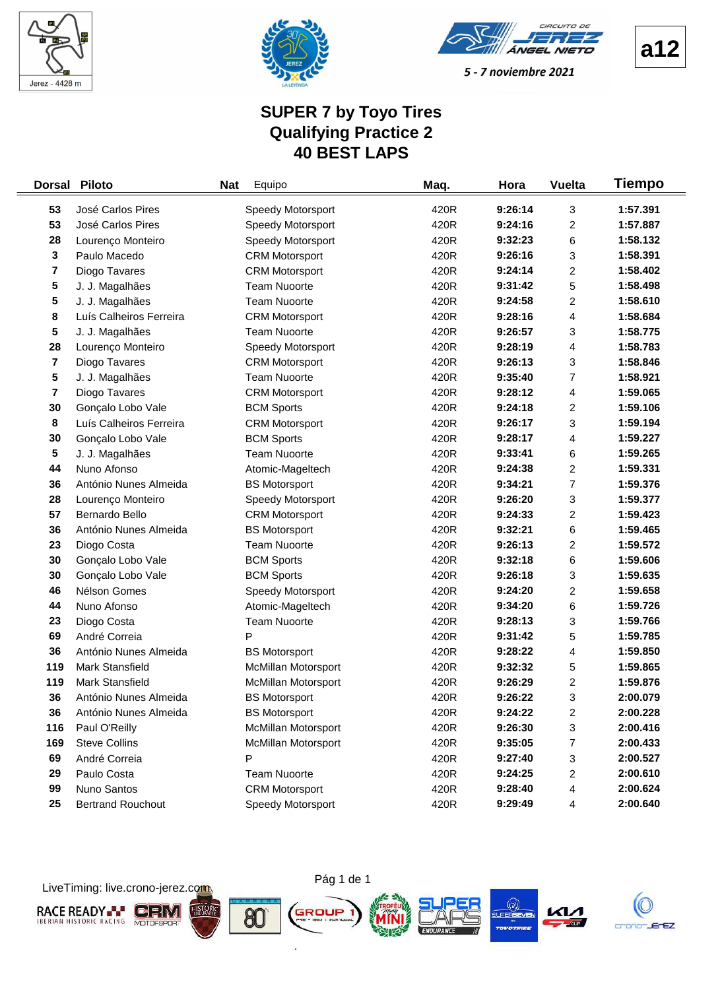



CIRCUITO DE ÁNGEL NIETO

**a12**

#### 5 - 7 noviembre 2021

### **SUPER 7 by Toyo Tires Qualifying Practice 2 40 BEST LAPS**

| <b>Dorsal</b> | <b>Piloto</b>            | <b>Nat</b> | Equipo                     | Maq. | Hora    | <b>Vuelta</b> | Tiempo   |
|---------------|--------------------------|------------|----------------------------|------|---------|---------------|----------|
| 53            | José Carlos Pires        |            | Speedy Motorsport          | 420R | 9:26:14 | 3             | 1:57.391 |
| 53            | José Carlos Pires        |            | Speedy Motorsport          | 420R | 9:24:16 | 2             | 1:57.887 |
| 28            | Lourenço Monteiro        |            | Speedy Motorsport          | 420R | 9:32:23 | 6             | 1:58.132 |
| 3             | Paulo Macedo             |            | <b>CRM Motorsport</b>      | 420R | 9:26:16 | 3             | 1:58.391 |
| 7             | Diogo Tavares            |            | <b>CRM Motorsport</b>      | 420R | 9:24:14 | 2             | 1:58.402 |
| 5             | J. J. Magalhães          |            | <b>Team Nuoorte</b>        | 420R | 9:31:42 | 5             | 1:58.498 |
| 5             | J. J. Magalhães          |            | <b>Team Nuoorte</b>        | 420R | 9:24:58 | 2             | 1:58.610 |
| 8             | Luís Calheiros Ferreira  |            | <b>CRM Motorsport</b>      | 420R | 9:28:16 | 4             | 1:58.684 |
| 5             | J. J. Magalhães          |            | <b>Team Nuoorte</b>        | 420R | 9:26:57 | 3             | 1:58.775 |
| 28            | Lourenço Monteiro        |            | Speedy Motorsport          | 420R | 9:28:19 | 4             | 1:58.783 |
| 7             | Diogo Tavares            |            | <b>CRM Motorsport</b>      | 420R | 9:26:13 | 3             | 1:58.846 |
| 5             | J. J. Magalhães          |            | <b>Team Nuoorte</b>        | 420R | 9:35:40 | 7             | 1:58.921 |
| 7             | Diogo Tavares            |            | <b>CRM Motorsport</b>      | 420R | 9:28:12 | 4             | 1:59.065 |
| 30            | Gonçalo Lobo Vale        |            | <b>BCM Sports</b>          | 420R | 9:24:18 | 2             | 1:59.106 |
| 8             | Luís Calheiros Ferreira  |            | <b>CRM Motorsport</b>      | 420R | 9:26:17 | 3             | 1:59.194 |
| 30            | Gonçalo Lobo Vale        |            | <b>BCM Sports</b>          | 420R | 9:28:17 | 4             | 1:59.227 |
| 5             | J. J. Magalhães          |            | <b>Team Nuoorte</b>        | 420R | 9:33:41 | 6             | 1:59.265 |
| 44            | Nuno Afonso              |            | Atomic-Mageltech           | 420R | 9:24:38 | 2             | 1:59.331 |
| 36            | António Nunes Almeida    |            | <b>BS Motorsport</b>       | 420R | 9:34:21 | 7             | 1:59.376 |
| 28            | Lourenço Monteiro        |            | Speedy Motorsport          | 420R | 9:26:20 | 3             | 1:59.377 |
| 57            | Bernardo Bello           |            | <b>CRM Motorsport</b>      | 420R | 9:24:33 | 2             | 1:59.423 |
| 36            | António Nunes Almeida    |            | <b>BS Motorsport</b>       | 420R | 9:32:21 | 6             | 1:59.465 |
| 23            | Diogo Costa              |            | <b>Team Nuoorte</b>        | 420R | 9:26:13 | 2             | 1:59.572 |
| 30            | Gonçalo Lobo Vale        |            | <b>BCM Sports</b>          | 420R | 9:32:18 | 6             | 1:59.606 |
| 30            | Gonçalo Lobo Vale        |            | <b>BCM Sports</b>          | 420R | 9:26:18 | 3             | 1:59.635 |
| 46            | Nélson Gomes             |            | Speedy Motorsport          | 420R | 9:24:20 | 2             | 1:59.658 |
| 44            | Nuno Afonso              |            | Atomic-Mageltech           | 420R | 9:34:20 | 6             | 1:59.726 |
| 23            | Diogo Costa              |            | <b>Team Nuoorte</b>        | 420R | 9:28:13 | 3             | 1:59.766 |
| 69            | André Correia            |            | P                          | 420R | 9:31:42 | 5             | 1:59.785 |
| 36            | António Nunes Almeida    |            | <b>BS Motorsport</b>       | 420R | 9:28:22 | 4             | 1:59.850 |
| 119           | Mark Stansfield          |            | <b>McMillan Motorsport</b> | 420R | 9:32:32 | 5             | 1:59.865 |
| 119           | <b>Mark Stansfield</b>   |            | <b>McMillan Motorsport</b> | 420R | 9:26:29 | 2             | 1:59.876 |
| 36            | António Nunes Almeida    |            | <b>BS Motorsport</b>       | 420R | 9:26:22 | 3             | 2:00.079 |
| 36            | António Nunes Almeida    |            | <b>BS Motorsport</b>       | 420R | 9:24:22 | 2             | 2:00.228 |
| 116           | Paul O'Reilly            |            | McMillan Motorsport        | 420R | 9:26:30 | 3             | 2:00.416 |
| 169           | <b>Steve Collins</b>     |            | McMillan Motorsport        | 420R | 9:35:05 | 7             | 2:00.433 |
| 69            | André Correia            |            | P                          | 420R | 9:27:40 | 3             | 2:00.527 |
| 29            | Paulo Costa              |            | <b>Team Nuoorte</b>        | 420R | 9:24:25 | 2             | 2:00.610 |
| 99            | Nuno Santos              |            | <b>CRM Motorsport</b>      | 420R | 9:28:40 | 4             | 2:00.624 |
| 25            | <b>Bertrand Rouchout</b> |            | Speedy Motorsport          | 420R | 9:29:49 | 4             | 2:00.640 |

LiveTiming: live.crono-jerez.com



ò.

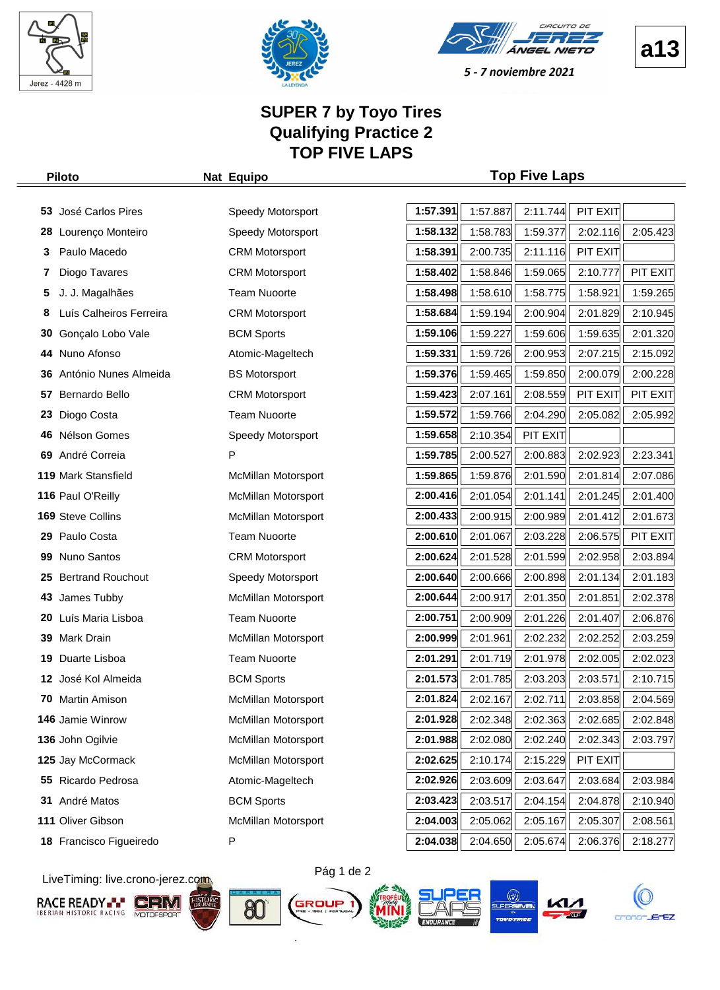





### **SUPER 7 by Toyo Tires Qualifying Practice 2 TOP FIVE LAPS**

#### **Piloto Nat Equipo Top Five Laps**

| 53 | José Carlos Pires        | Speedy Motorsport          | 1:57.391 | 1:57.887 | 2:11.744 | PIT EXIT |          |
|----|--------------------------|----------------------------|----------|----------|----------|----------|----------|
| 28 | Lourenço Monteiro        | Speedy Motorsport          | 1:58.132 | 1:58.783 | 1:59.377 | 2:02.116 | 2:05.423 |
| 3  | Paulo Macedo             | <b>CRM Motorsport</b>      | 1:58.391 | 2:00.735 | 2:11.116 | PIT EXIT |          |
| 7  | Diogo Tavares            | <b>CRM Motorsport</b>      | 1:58.402 | 1:58.846 | 1:59.065 | 2:10.777 | PIT EXIT |
| 5  | J. J. Magalhães          | <b>Team Nuoorte</b>        | 1:58.498 | 1:58.610 | 1:58.775 | 1:58.921 | 1:59.265 |
| 8  | Luís Calheiros Ferreira  | <b>CRM Motorsport</b>      | 1:58.684 | 1:59.194 | 2:00.904 | 2:01.829 | 2:10.945 |
| 30 | Gonçalo Lobo Vale        | <b>BCM Sports</b>          | 1:59.106 | 1:59.227 | 1:59.606 | 1:59.635 | 2:01.320 |
| 44 | Nuno Afonso              | Atomic-Mageltech           | 1:59.331 | 1:59.726 | 2:00.953 | 2:07.215 | 2:15.092 |
| 36 | António Nunes Almeida    | <b>BS Motorsport</b>       | 1:59.376 | 1:59.465 | 1:59.850 | 2:00.079 | 2:00.228 |
| 57 | Bernardo Bello           | <b>CRM Motorsport</b>      | 1:59.423 | 2:07.161 | 2:08.559 | PIT EXIT | PIT EXIT |
| 23 | Diogo Costa              | <b>Team Nuoorte</b>        | 1:59.572 | 1:59.766 | 2:04.290 | 2:05.082 | 2:05.992 |
| 46 | Nélson Gomes             | Speedy Motorsport          | 1:59.658 | 2:10.354 | PIT EXIT |          |          |
| 69 | André Correia            | P                          | 1:59.785 | 2:00.527 | 2:00.883 | 2:02.923 | 2:23.341 |
|    | 119 Mark Stansfield      | <b>McMillan Motorsport</b> | 1:59.865 | 1:59.876 | 2:01.590 | 2:01.814 | 2:07.086 |
|    | 116 Paul O'Reilly        | McMillan Motorsport        | 2:00.416 | 2:01.054 | 2:01.141 | 2:01.245 | 2:01.400 |
|    | <b>169 Steve Collins</b> | <b>McMillan Motorsport</b> | 2:00.433 | 2:00.915 | 2:00.989 | 2:01.412 | 2:01.673 |
|    | 29 Paulo Costa           | <b>Team Nuoorte</b>        | 2:00.610 | 2:01.067 | 2:03.228 | 2:06.575 | PIT EXIT |
| 99 | Nuno Santos              | <b>CRM Motorsport</b>      | 2:00.624 | 2:01.528 | 2:01.599 | 2:02.958 | 2:03.894 |
| 25 | <b>Bertrand Rouchout</b> | Speedy Motorsport          | 2:00.640 | 2:00.666 | 2:00.898 | 2:01.134 | 2:01.183 |
| 43 | James Tubby              | <b>McMillan Motorsport</b> | 2:00.644 | 2:00.917 | 2:01.350 | 2:01.851 | 2:02.378 |
| 20 | Luís Maria Lisboa        | <b>Team Nuoorte</b>        | 2:00.751 | 2:00.909 | 2:01.226 | 2:01.407 | 2:06.876 |
| 39 | Mark Drain               | McMillan Motorsport        | 2:00.999 | 2:01.961 | 2:02.232 | 2:02.252 | 2:03.259 |
| 19 | Duarte Lisboa            | <b>Team Nuoorte</b>        | 2:01.291 | 2:01.719 | 2:01.978 | 2:02.005 | 2:02.023 |
| 12 | José Kol Almeida         | <b>BCM Sports</b>          | 2:01.573 | 2:01.785 | 2:03.203 | 2:03.571 | 2:10.715 |
| 70 | Martin Amison            | McMillan Motorsport        | 2:01.824 | 2:02.167 | 2:02.711 | 2:03.858 | 2:04.569 |
|    | <b>146 Jamie Winrow</b>  | <b>McMillan Motorsport</b> | 2:01.928 | 2:02.348 | 2:02.363 | 2:02.685 | 2:02.848 |
|    | 136 John Ogilvie         | McMillan Motorsport        | 2:01.988 | 2:02.080 | 2:02.240 | 2:02.343 | 2:03.797 |
|    | 125 Jay McCormack        | McMillan Motorsport        | 2:02.625 | 2:10.174 | 2:15.229 | PIT EXIT |          |
|    | 55 Ricardo Pedrosa       | Atomic-Mageltech           | 2:02.926 | 2:03.609 | 2:03.647 | 2:03.684 | 2:03.984 |
| 31 | André Matos              | <b>BCM Sports</b>          | 2:03.423 | 2:03.517 | 2:04.154 | 2:04.878 | 2:10.940 |
|    | 111 Oliver Gibson        | McMillan Motorsport        | 2:04.003 | 2:05.062 | 2:05.167 | 2:05.307 | 2:08.561 |
|    | 18 Francisco Figueiredo  | Ρ                          | 2:04.038 | 2:04.650 | 2:05.674 | 2:06.376 | 2:18.277 |

LiveTiming: live.crono-jerez.com

















**a13**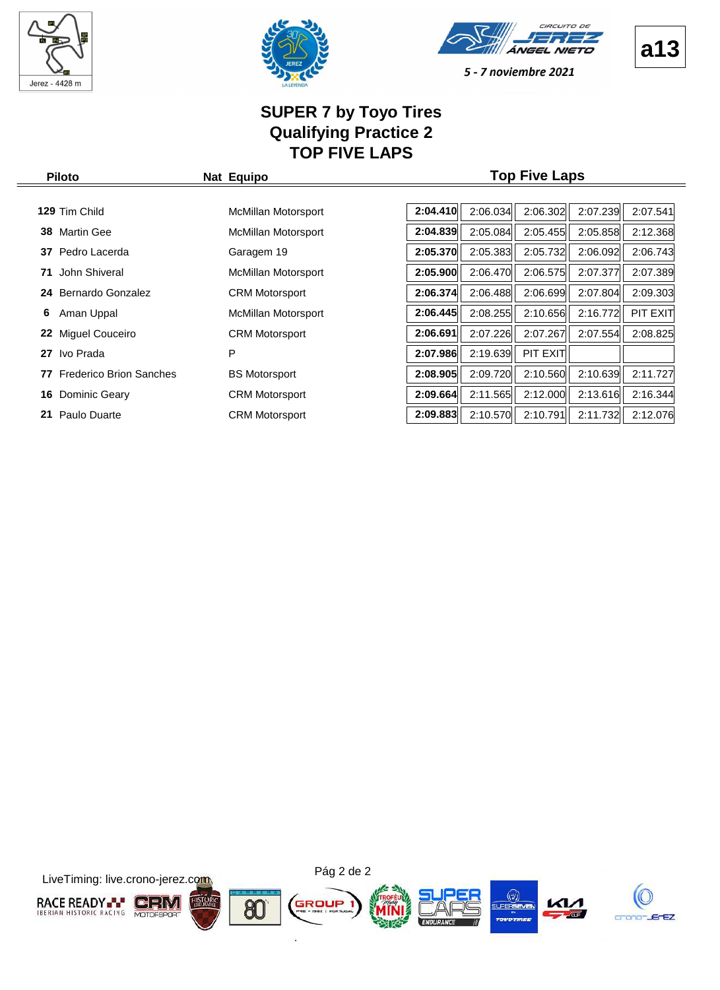





5 - 7 noviembre 2021

# **SUPER 7 by Toyo Tires Qualifying Practice 2 TOP FIVE LAPS**

| <b>Piloto</b>                        | Nat Equipo            |          | <b>Top Five Laps</b> |          |          |
|--------------------------------------|-----------------------|----------|----------------------|----------|----------|
|                                      |                       |          |                      |          |          |
| 129 Tim Child                        | McMillan Motorsport   | 2:04.410 | 2:06.302<br>2:06.034 | 2:07.239 | 2:07.541 |
| <b>Martin Gee</b><br>38              | McMillan Motorsport   | 2:04.839 | 2:05.084<br>2:05.455 | 2:05.858 | 2:12.368 |
| Pedro Lacerda<br>37                  | Garagem 19            | 2:05.370 | 2:05.383<br>2:05.732 | 2:06.092 | 2:06.743 |
| John Shiveral<br>71                  | McMillan Motorsport   | 2:05.900 | 2:06.470<br>2:06.575 | 2:07.377 | 2:07.389 |
| Bernardo Gonzalez<br>24              | <b>CRM Motorsport</b> | 2:06.374 | 2:06.699<br>2:06.488 | 2:07.804 | 2:09.303 |
| Aman Uppal<br>6                      | McMillan Motorsport   | 2:06.445 | 2:08.255<br>2:10.656 | 2:16.772 | PIT EXIT |
| Miguel Couceiro<br>22                | <b>CRM Motorsport</b> | 2:06.691 | 2:07.226<br>2:07.267 | 2:07.554 | 2:08.825 |
| Ivo Prada<br>27                      | P                     | 2:07.986 | 2:19.639<br>PIT EXIT |          |          |
| <b>Frederico Brion Sanches</b><br>77 | <b>BS Motorsport</b>  | 2:08.905 | 2:09.720<br>2:10.560 | 2:10.639 | 2:11.727 |
| Dominic Geary<br>16                  | <b>CRM Motorsport</b> | 2:09.664 | 2:11.565<br>2:12.000 | 2:13.616 | 2:16.344 |
| Paulo Duarte<br>21                   | <b>CRM Motorsport</b> | 2:09.883 | 2:10.570<br>2:10.791 | 2:11.732 | 2:12.076 |

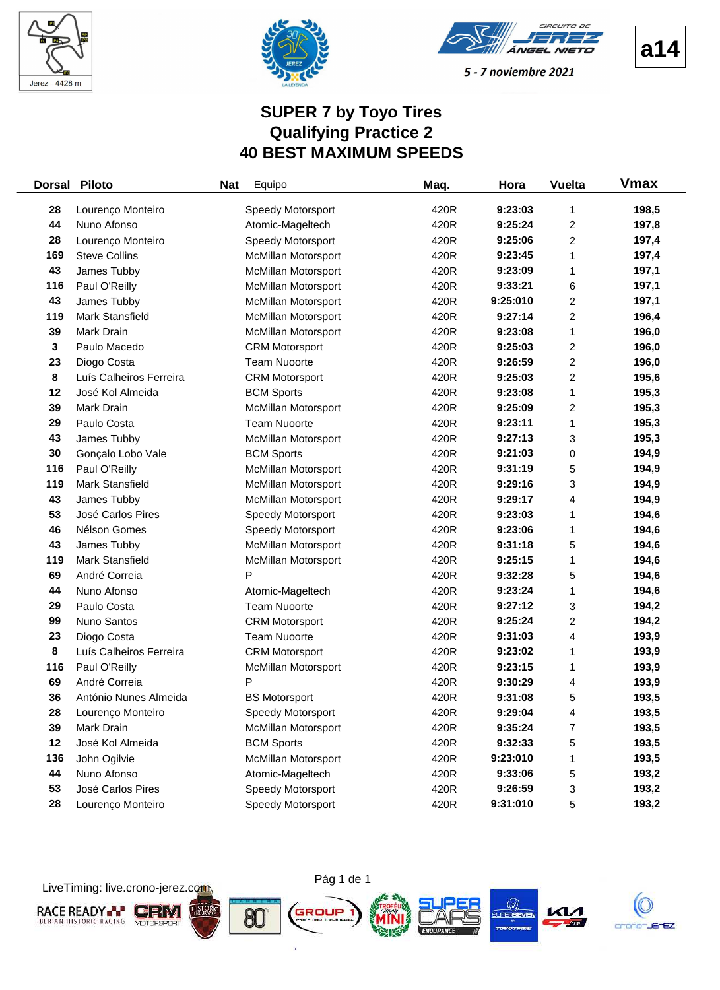



CIRCUITO DE ÁNGEL NIETO

5 - 7 noviembre 2021

# **SUPER 7 by Toyo Tires Qualifying Practice 2 40 BEST MAXIMUM SPEEDS**

| <b>Dorsal</b> | <b>Piloto</b>           | <b>Nat</b> | Equipo                     | Maq. | Hora     | <b>Vuelta</b>           | <b>Vmax</b> |
|---------------|-------------------------|------------|----------------------------|------|----------|-------------------------|-------------|
| 28            | Lourenço Monteiro       |            | Speedy Motorsport          | 420R | 9:23:03  | 1                       | 198,5       |
| 44            | Nuno Afonso             |            | Atomic-Mageltech           | 420R | 9:25:24  | $\overline{c}$          | 197,8       |
| 28            | Lourenço Monteiro       |            | Speedy Motorsport          | 420R | 9:25:06  | $\overline{c}$          | 197,4       |
| 169           | <b>Steve Collins</b>    |            | <b>McMillan Motorsport</b> | 420R | 9:23:45  | 1                       | 197,4       |
| 43            | James Tubby             |            | McMillan Motorsport        | 420R | 9:23:09  | 1                       | 197,1       |
| 116           | Paul O'Reilly           |            | McMillan Motorsport        | 420R | 9:33:21  | 6                       | 197,1       |
| 43            | James Tubby             |            | <b>McMillan Motorsport</b> | 420R | 9:25:010 | 2                       | 197,1       |
| 119           | Mark Stansfield         |            | <b>McMillan Motorsport</b> | 420R | 9:27:14  | 2                       | 196,4       |
| 39            | Mark Drain              |            | McMillan Motorsport        | 420R | 9:23:08  | 1                       | 196,0       |
| 3             | Paulo Macedo            |            | <b>CRM Motorsport</b>      | 420R | 9:25:03  | $\overline{c}$          | 196,0       |
| 23            | Diogo Costa             |            | <b>Team Nuoorte</b>        | 420R | 9:26:59  | $\overline{c}$          | 196,0       |
| 8             | Luís Calheiros Ferreira |            | <b>CRM Motorsport</b>      | 420R | 9:25:03  | $\overline{c}$          | 195,6       |
| 12            | José Kol Almeida        |            | <b>BCM Sports</b>          | 420R | 9:23:08  | 1                       | 195,3       |
| 39            | Mark Drain              |            | <b>McMillan Motorsport</b> | 420R | 9:25:09  | $\overline{\mathbf{c}}$ | 195,3       |
| 29            | Paulo Costa             |            | <b>Team Nuoorte</b>        | 420R | 9:23:11  | 1                       | 195,3       |
| 43            | James Tubby             |            | McMillan Motorsport        | 420R | 9:27:13  | 3                       | 195,3       |
| 30            | Gonçalo Lobo Vale       |            | <b>BCM Sports</b>          | 420R | 9:21:03  | 0                       | 194,9       |
| 116           | Paul O'Reilly           |            | McMillan Motorsport        | 420R | 9:31:19  | 5                       | 194,9       |
| 119           | <b>Mark Stansfield</b>  |            | <b>McMillan Motorsport</b> | 420R | 9:29:16  | 3                       | 194,9       |
| 43            | James Tubby             |            | McMillan Motorsport        | 420R | 9:29:17  | 4                       | 194,9       |
| 53            | José Carlos Pires       |            | Speedy Motorsport          | 420R | 9:23:03  | 1                       | 194,6       |
| 46            | Nélson Gomes            |            | Speedy Motorsport          | 420R | 9:23:06  | 1                       | 194,6       |
| 43            | James Tubby             |            | <b>McMillan Motorsport</b> | 420R | 9:31:18  | 5                       | 194,6       |
| 119           | Mark Stansfield         |            | McMillan Motorsport        | 420R | 9:25:15  | 1                       | 194,6       |
| 69            | André Correia           |            | P                          | 420R | 9:32:28  | 5                       | 194,6       |
| 44            | Nuno Afonso             |            | Atomic-Mageltech           | 420R | 9:23:24  | 1                       | 194,6       |
| 29            | Paulo Costa             |            | <b>Team Nuoorte</b>        | 420R | 9:27:12  | 3                       | 194,2       |
| 99            | Nuno Santos             |            | <b>CRM Motorsport</b>      | 420R | 9:25:24  | $\overline{c}$          | 194,2       |
| 23            | Diogo Costa             |            | <b>Team Nuoorte</b>        | 420R | 9:31:03  | 4                       | 193,9       |
| 8             | Luís Calheiros Ferreira |            | <b>CRM Motorsport</b>      | 420R | 9:23:02  | 1                       | 193,9       |
| 116           | Paul O'Reilly           |            | <b>McMillan Motorsport</b> | 420R | 9:23:15  | 1                       | 193,9       |
| 69            | André Correia           |            | P                          | 420R | 9:30:29  | 4                       | 193,9       |
| 36            | António Nunes Almeida   |            | <b>BS Motorsport</b>       | 420R | 9:31:08  | 5                       | 193,5       |
| 28            | Lourenço Monteiro       |            | Speedy Motorsport          | 420R | 9:29:04  | 4                       | 193,5       |
| 39            | Mark Drain              |            | McMillan Motorsport        | 420R | 9:35:24  | $\overline{7}$          | 193,5       |
| 12            | José Kol Almeida        |            | <b>BCM Sports</b>          | 420R | 9:32:33  | 5                       | 193,5       |
| 136           | John Ogilvie            |            | <b>McMillan Motorsport</b> | 420R | 9:23:010 | 1                       | 193,5       |
| 44            | Nuno Afonso             |            | Atomic-Mageltech           | 420R | 9:33:06  | 5                       | 193,2       |
| 53            | José Carlos Pires       |            | Speedy Motorsport          | 420R | 9:26:59  | 3                       | 193,2       |
| 28            | Lourenço Monteiro       |            | Speedy Motorsport          | 420R | 9:31:010 | 5                       | 193,2       |

LiveTiming: live.crono-jerez.com



ò.

Pág 1 de 1





**a14**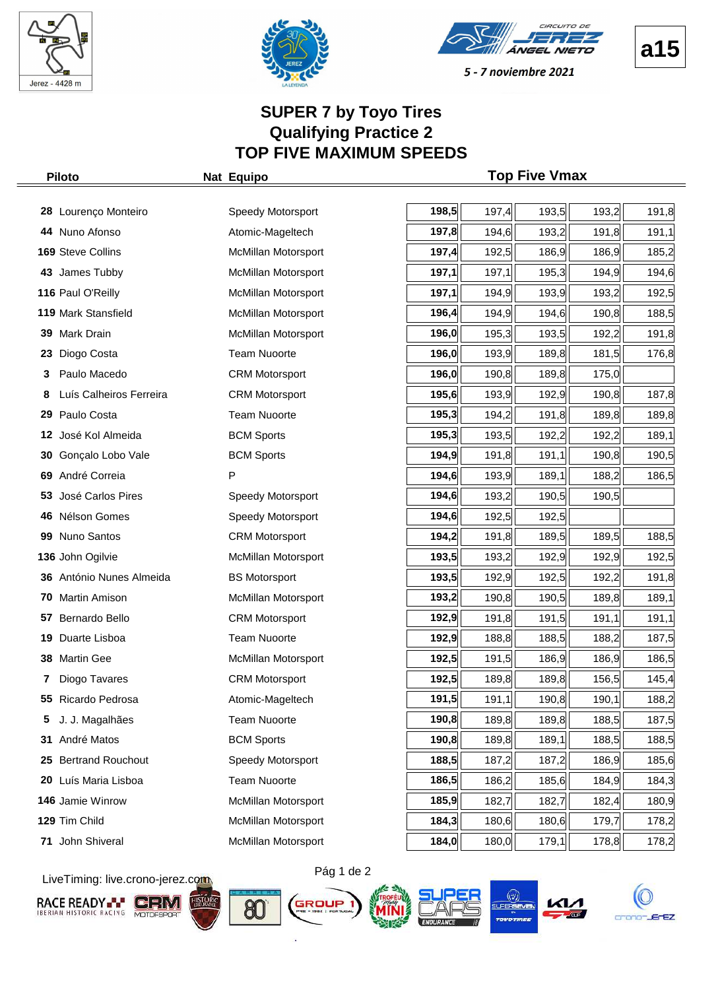



CIOCULTO DE Á*NGEL NIETO* 



5 - 7 noviembre 2021

# **SUPER 7 by Toyo Tires Qualifying Practice 2 TOP FIVE MAXIMUM SPEEDS**

|     | <b>Piloto</b>            | Nat Equipo                 |       |       | <b>Top Five Vmax</b> |       |       |
|-----|--------------------------|----------------------------|-------|-------|----------------------|-------|-------|
|     |                          |                            |       |       |                      |       |       |
|     | 28 Lourenço Monteiro     | Speedy Motorsport          | 198,5 | 197,4 | 193,5                | 193,2 | 191,8 |
| 44  | Nuno Afonso              | Atomic-Mageltech           | 197,8 | 194,6 | 193,2                | 191,8 | 191,1 |
|     | 169 Steve Collins        | McMillan Motorsport        | 197,4 | 192,5 | 186,9                | 186,9 | 185,2 |
| 43  | James Tubby              | McMillan Motorsport        | 197,1 | 197,1 | 195,3                | 194,9 | 194,6 |
|     | 116 Paul O'Reilly        | McMillan Motorsport        | 197,1 | 194,9 | 193,9                | 193,2 | 192,5 |
|     | 119 Mark Stansfield      | McMillan Motorsport        | 196,4 | 194,9 | 194,6                | 190,8 | 188,5 |
|     | 39 Mark Drain            | McMillan Motorsport        | 196,0 | 195,3 | 193,5                | 192,2 | 191,8 |
| 23  | Diogo Costa              | <b>Team Nuoorte</b>        | 196,0 | 193,9 | 189,8                | 181,5 | 176,8 |
| 3   | Paulo Macedo             | <b>CRM Motorsport</b>      | 196,0 | 190,8 | 189,8                | 175,0 |       |
| 8   | Luís Calheiros Ferreira  | <b>CRM Motorsport</b>      | 195,6 | 193,9 | 192,9                | 190,8 | 187,8 |
| 29  | Paulo Costa              | <b>Team Nuoorte</b>        | 195,3 | 194,2 | 191,8                | 189,8 | 189,8 |
| 12  | José Kol Almeida         | <b>BCM Sports</b>          | 195,3 | 193,5 | 192,2                | 192,2 | 189,1 |
| 30  | Gonçalo Lobo Vale        | <b>BCM Sports</b>          | 194,9 | 191,8 | 191,1                | 190,8 | 190,5 |
| 69. | André Correia            | Р                          | 194,6 | 193,9 | 189,1                | 188,2 | 186,5 |
| 53  | José Carlos Pires        | Speedy Motorsport          | 194,6 | 193,2 | 190,5                | 190,5 |       |
| 46  | Nélson Gomes             | Speedy Motorsport          | 194,6 | 192,5 | 192,5                |       |       |
| 99  | Nuno Santos              | <b>CRM Motorsport</b>      | 194,2 | 191,8 | 189,5                | 189,5 | 188,5 |
|     | 136 John Ogilvie         | McMillan Motorsport        | 193,5 | 193,2 | 192,9                | 192,9 | 192,5 |
|     | 36 António Nunes Almeida | <b>BS Motorsport</b>       | 193,5 | 192,9 | 192,5                | 192,2 | 191,8 |
| 70  | Martin Amison            | <b>McMillan Motorsport</b> | 193,2 | 190,8 | 190,5                | 189,8 | 189,1 |
| 57  | Bernardo Bello           | <b>CRM Motorsport</b>      | 192,9 | 191,8 | 191,5                | 191,1 | 191,1 |
| 19  | Duarte Lisboa            | <b>Team Nuoorte</b>        | 192,9 | 188,8 | 188,5                | 188,2 | 187,5 |
| 38  | Martin Gee               | McMillan Motorsport        | 192,5 | 191,5 | 186,9                | 186,9 | 186,5 |
|     | Diogo Tavares            | <b>CRM Motorsport</b>      | 192,5 | 189,8 | 189,8                | 156,5 | 145,4 |
|     | 55 Ricardo Pedrosa       | Atomic-Mageltech           | 191,5 | 191,1 | 190, 8               | 190,1 | 188,2 |
| 5   | J. J. Magalhães          | <b>Team Nuoorte</b>        | 190,8 | 189,8 | 189,8                | 188,5 | 187,5 |
| 31  | André Matos              | <b>BCM Sports</b>          | 190,8 | 189,8 | 189,1                | 188,5 | 188,5 |
| 25  | <b>Bertrand Rouchout</b> | Speedy Motorsport          | 188,5 | 187,2 | 187,2                | 186,9 | 185,6 |
| 20  | Luís Maria Lisboa        | <b>Team Nuoorte</b>        | 186,5 | 186,2 | 185,6                | 184,9 | 184,3 |
|     | 146 Jamie Winrow         | McMillan Motorsport        | 185,9 | 182,7 | 182,7                | 182,4 | 180,9 |
|     | 129 Tim Child            | McMillan Motorsport        | 184,3 | 180,6 | 180,6                | 179,7 | 178,2 |
|     | 71 John Shiveral         | <b>McMillan Motorsport</b> | 184,0 | 180,0 | 179,1                | 178,8 | 178,2 |

LiveTiming: live.crono-jerez.com













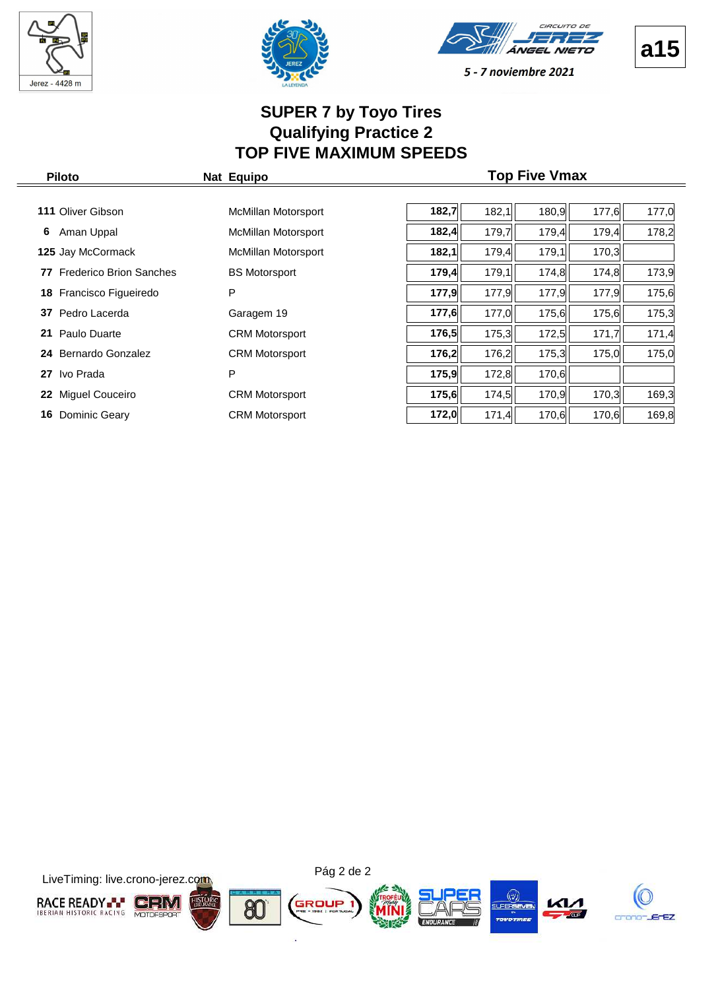







# **SUPER 7 by Toyo Tires Qualifying Practice 2 TOP FIVE MAXIMUM SPEEDS**

| <b>Piloto</b>              | Nat Equipo                 |       |       | <b>Top Five Vmax</b> |       |       |
|----------------------------|----------------------------|-------|-------|----------------------|-------|-------|
|                            |                            |       |       |                      |       |       |
| <b>111 Oliver Gibson</b>   | <b>McMillan Motorsport</b> | 182,7 | 182,1 | 180,9                | 177,6 | 177,0 |
| Aman Uppal<br>6.           | McMillan Motorsport        | 182,4 | 179,7 | 179,4                | 179,4 | 178,2 |
| 125 Jay McCormack          | <b>McMillan Motorsport</b> | 182,1 | 179,4 | 179,1                | 170,3 |       |
| 77 Frederico Brion Sanches | <b>BS Motorsport</b>       | 179,4 | 179,1 | 174,8                | 174,8 | 173,9 |
| 18 Francisco Figueiredo    | P                          | 177,9 | 177,9 | 177,9                | 177,9 | 175,6 |
| Pedro Lacerda<br>37        | Garagem 19                 | 177,6 | 177,0 | 175,6                | 175,6 | 175,3 |
| 21 Paulo Duarte            | <b>CRM Motorsport</b>      | 176,5 | 175,3 | 172,5                | 171,7 | 171,4 |
| 24 Bernardo Gonzalez       | <b>CRM Motorsport</b>      | 176,2 | 176,2 | 175,3                | 175,0 | 175,0 |
| Ivo Prada<br>27            | P                          | 175,9 | 172,8 | 170,6                |       |       |
| Miguel Couceiro<br>22      | <b>CRM Motorsport</b>      | 175,6 | 174,5 | 170,9                | 170,3 | 169,3 |
| Dominic Geary<br>16        | <b>CRM Motorsport</b>      | 172,0 | 171,4 | 170,6                | 170,6 | 169,8 |

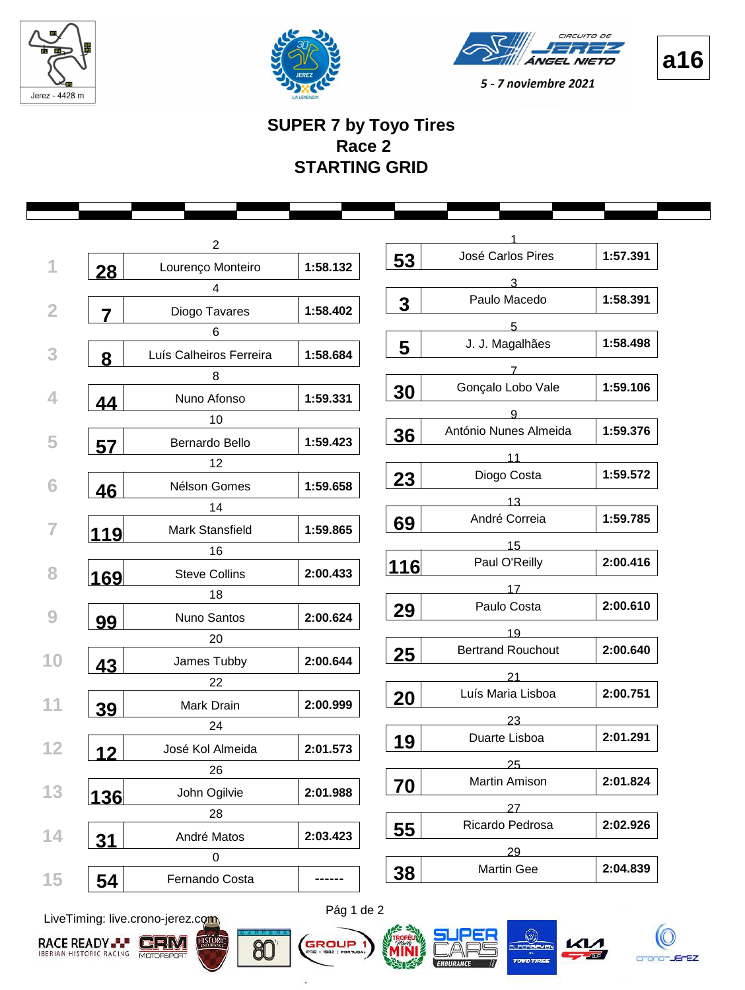







# **SUPER 7 by Toyo Tires Race 2 STARTING GRID**

|                | 2                       |          |                         |                          |          |
|----------------|-------------------------|----------|-------------------------|--------------------------|----------|
| 28             | Lourenço Monteiro       | 1:58.132 | 53                      | José Carlos Pires        | 1:57.391 |
|                | 4                       |          |                         | 3.                       |          |
| $\overline{7}$ | Diogo Tavares           | 1:58.402 | $\overline{\mathbf{3}}$ | Paulo Macedo             | 1:58.391 |
|                | 6                       |          |                         | 5                        |          |
|                | Luís Calheiros Ferreira | 1:58.684 | 5                       | J. J. Magalhães          | 1:58.498 |
| 8              |                         |          |                         | $\overline{7}$           |          |
|                | 8                       |          | 30                      | Gonçalo Lobo Vale        | 1:59.106 |
| 44             | Nuno Afonso             | 1:59.331 |                         | g                        |          |
|                | 10                      |          | 36                      | António Nunes Almeida    | 1:59.376 |
| 57             | Bernardo Bello          | 1:59.423 |                         | 11                       |          |
|                | 12                      |          |                         | Diogo Costa              | 1:59.572 |
| 46             | Nélson Gomes            | 1:59.658 | 23                      |                          |          |
|                | 14                      |          |                         | 13<br>André Correia      | 1:59.785 |
| 119            | Mark Stansfield         | 1:59.865 | 69                      |                          |          |
|                | 16                      |          |                         | 15                       |          |
| 169            | <b>Steve Collins</b>    | 2:00.433 | 116                     | Paul O'Reilly            | 2:00.416 |
|                | 18                      |          |                         | 17                       |          |
| 99             | Nuno Santos             | 2:00.624 | 29                      | Paulo Costa              | 2:00.610 |
|                | 20                      |          |                         | 19                       |          |
|                | James Tubby             | 2:00.644 | 25                      | <b>Bertrand Rouchout</b> | 2:00.640 |
| 43             | 22                      |          |                         | 21                       |          |
|                | Mark Drain              | 2:00.999 | 20                      | Luís Maria Lisboa        | 2:00.751 |
| 39             |                         |          |                         | 23                       |          |
|                | 24                      |          | 19                      | Duarte Lisboa            | 2:01.291 |
| 12             | José Kol Almeida        | 2:01.573 |                         | 25                       |          |
|                | 26                      |          | 70                      | Martin Amison            | 2:01.824 |
| 136            | John Ogilvie            | 2:01.988 |                         |                          |          |
|                | 28                      |          |                         | 27<br>Ricardo Pedrosa    | 2:02.926 |
| <u>31</u>      | André Matos             | 2:03.423 | 55                      |                          |          |
|                | $\pmb{0}$               |          |                         | 29                       |          |
| 54             | Fernando Costa          |          | 38                      | <b>Martin Gee</b>        | 2:04.839 |

LiveTiming: live.crono-jerez.com





ä